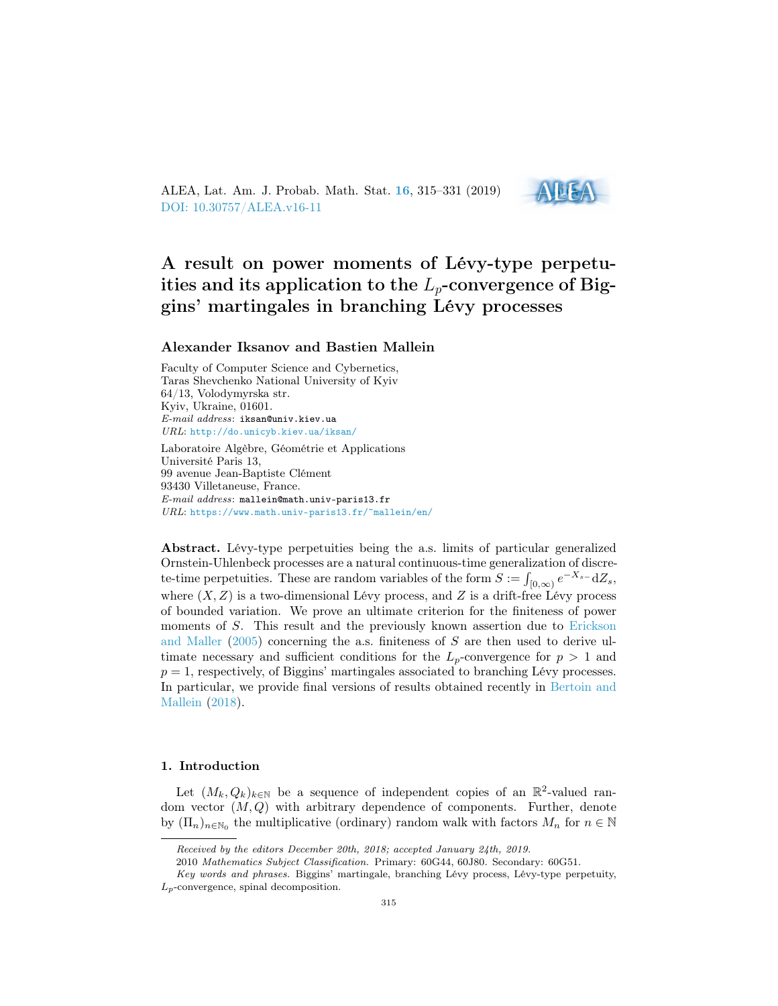ALEA, Lat. Am. J. Probab. Math. Stat. [16](http://alea.impa.br/english/index_v16.htm), 315–331 (2019) [DOI: 10.30757/ALEA.v16-11](https://doi.org/10.30757/ALEA.v16-11)



# A result on power moments of Lévy-type perpetuities and its application to the  $L_p$ -convergence of Biggins' martingales in branching Lévy processes

## Alexander Iksanov and Bastien Mallein

Faculty of Computer Science and Cybernetics, Taras Shevchenko National University of Kyiv 64/13, Volodymyrska str. Kyiv, Ukraine, 01601. E-mail address: iksan@univ.kiev.ua URL: <http://do.unicyb.kiev.ua/iksan/>

Laboratoire Algèbre, Géométrie et Applications Université Paris 13, 99 avenue Jean-Baptiste Clément 93430 Villetaneuse, France. E-mail address: mallein@math.univ-paris13.fr URL: <https://www.math.univ-paris13.fr/~mallein/en/>

Abstract. Lévy-type perpetuities being the a.s. limits of particular generalized Ornstein-Uhlenbeck processes are a natural continuous-time generalization of discrete-time perpetuities. These are random variables of the form  $S := \int_{[0,\infty)} e^{-X_{s-1}} dZ_s$ , where  $(X, Z)$  is a two-dimensional Lévy process, and Z is a drift-free Lévy process of bounded variation. We prove an ultimate criterion for the finiteness of power moments of S. This result and the previously known assertion due to [Erickson](#page-15-0) [and Maller](#page-15-0)  $(2005)$  concerning the a.s. finiteness of S are then used to derive ultimate necessary and sufficient conditions for the  $L_p$ -convergence for  $p > 1$  and  $p = 1$ , respectively, of Biggins' martingales associated to branching Lévy processes. In particular, we provide final versions of results obtained recently in [Bertoin and](#page-14-0) [Mallein](#page-14-0) [\(2018\)](#page-14-0).

#### 1. Introduction

Let  $(M_k, Q_k)_{k \in \mathbb{N}}$  be a sequence of independent copies of an  $\mathbb{R}^2$ -valued random vector  $(M, Q)$  with arbitrary dependence of components. Further, denote by  $(\Pi_n)_{n \in \mathbb{N}_0}$  the multiplicative (ordinary) random walk with factors  $M_n$  for  $n \in \mathbb{N}$ 

Received by the editors December 20th, 2018; accepted January 24th, 2019.

<sup>2010</sup> Mathematics Subject Classification. Primary: 60G44, 60J80. Secondary: 60G51.

Key words and phrases. Biggins' martingale, branching Lévy process, Lévy-type perpetuity,  $L_p$ -convergence, spinal decomposition.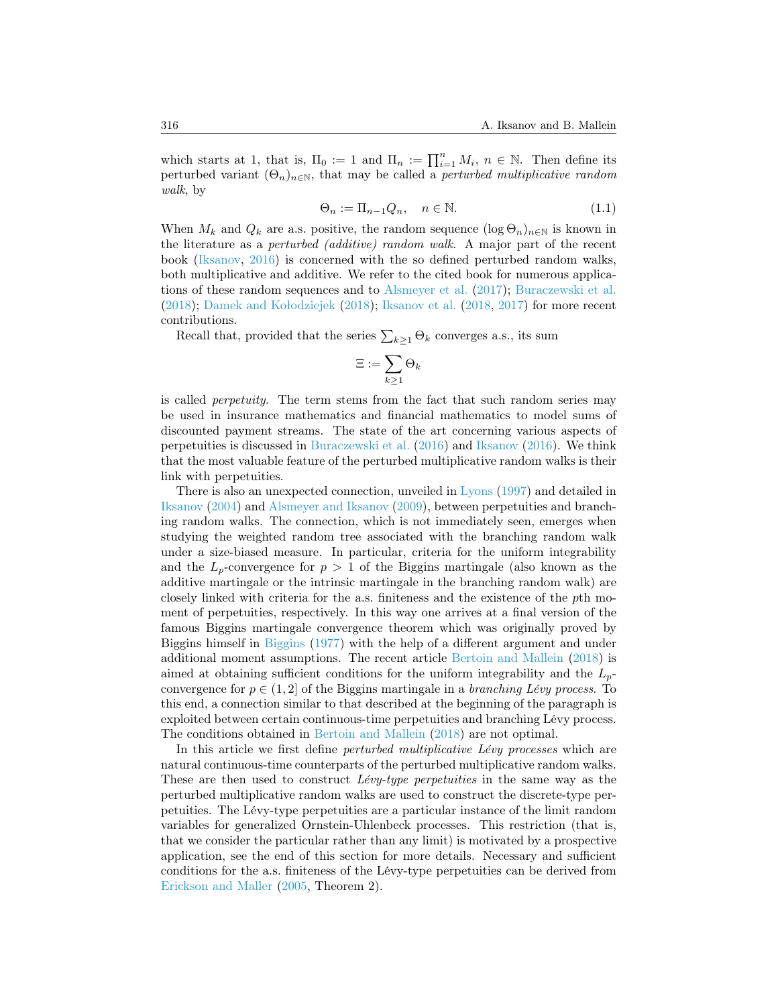which starts at 1, that is,  $\Pi_0 := 1$  and  $\Pi_n := \prod_{i=1}^n M_i$ ,  $n \in \mathbb{N}$ . Then define its perturbed variant  $(\Theta_n)_{n\in\mathbb{N}}$ , that may be called a *perturbed multiplicative random* walk, by

<span id="page-1-0"></span>
$$
\Theta_n := \Pi_{n-1} Q_n, \quad n \in \mathbb{N}.
$$
\n(1.1)

When  $M_k$  and  $Q_k$  are a.s. positive, the random sequence  $(\log \Theta_n)_{n \in \mathbb{N}}$  is known in the literature as a perturbed (additive) random walk. A major part of the recent book [\(Iksanov,](#page-15-1) [2016\)](#page-15-1) is concerned with the so defined perturbed random walks, both multiplicative and additive. We refer to the cited book for numerous applications of these random sequences and to [Alsmeyer et al.](#page-14-1) [\(2017\)](#page-14-1); [Buraczewski et al.](#page-15-2) [\(2018\)](#page-15-2); [Damek and Kołodziejek](#page-15-3) [\(2018\)](#page-15-3); [Iksanov et al.](#page-15-4) [\(2018,](#page-15-4) [2017\)](#page-15-5) for more recent contributions.

Recall that, provided that the series  $\sum_{k\geq 1} \Theta_k$  converges a.s., its sum

$$
\Xi:=\sum_{k\geq 1}\Theta_k
$$

is called perpetuity. The term stems from the fact that such random series may be used in insurance mathematics and financial mathematics to model sums of discounted payment streams. The state of the art concerning various aspects of perpetuities is discussed in [Buraczewski et al.](#page-15-6) [\(2016\)](#page-15-6) and [Iksanov](#page-15-1) [\(2016\)](#page-15-1). We think that the most valuable feature of the perturbed multiplicative random walks is their link with perpetuities.

There is also an unexpected connection, unveiled in [Lyons](#page-15-7) [\(1997\)](#page-15-7) and detailed in [Iksanov](#page-15-8) [\(2004\)](#page-15-8) and [Alsmeyer and Iksanov](#page-14-2) [\(2009\)](#page-14-2), between perpetuities and branching random walks. The connection, which is not immediately seen, emerges when studying the weighted random tree associated with the branching random walk under a size-biased measure. In particular, criteria for the uniform integrability and the  $L_p$ -convergence for  $p > 1$  of the Biggins martingale (also known as the additive martingale or the intrinsic martingale in the branching random walk) are closely linked with criteria for the a.s. finiteness and the existence of the pth moment of perpetuities, respectively. In this way one arrives at a final version of the famous Biggins martingale convergence theorem which was originally proved by Biggins himself in [Biggins](#page-14-3) [\(1977\)](#page-14-3) with the help of a different argument and under additional moment assumptions. The recent article [Bertoin and Mallein](#page-14-0) [\(2018\)](#page-14-0) is aimed at obtaining sufficient conditions for the uniform integrability and the  $L_p$ convergence for  $p \in (1, 2]$  of the Biggins martingale in a *branching Lévy process*. To this end, a connection similar to that described at the beginning of the paragraph is exploited between certain continuous-time perpetuities and branching Lévy process. The conditions obtained in [Bertoin and Mallein](#page-14-0) [\(2018\)](#page-14-0) are not optimal.

In this article we first define *perturbed multiplicative Lévy processes* which are natural continuous-time counterparts of the perturbed multiplicative random walks. These are then used to construct *Lévy-type perpetuities* in the same way as the perturbed multiplicative random walks are used to construct the discrete-type perpetuities. The Lévy-type perpetuities are a particular instance of the limit random variables for generalized Ornstein-Uhlenbeck processes. This restriction (that is, that we consider the particular rather than any limit) is motivated by a prospective application, see the end of this section for more details. Necessary and sufficient conditions for the a.s. finiteness of the Lévy-type perpetuities can be derived from [Erickson and Maller](#page-15-0) [\(2005,](#page-15-0) Theorem 2).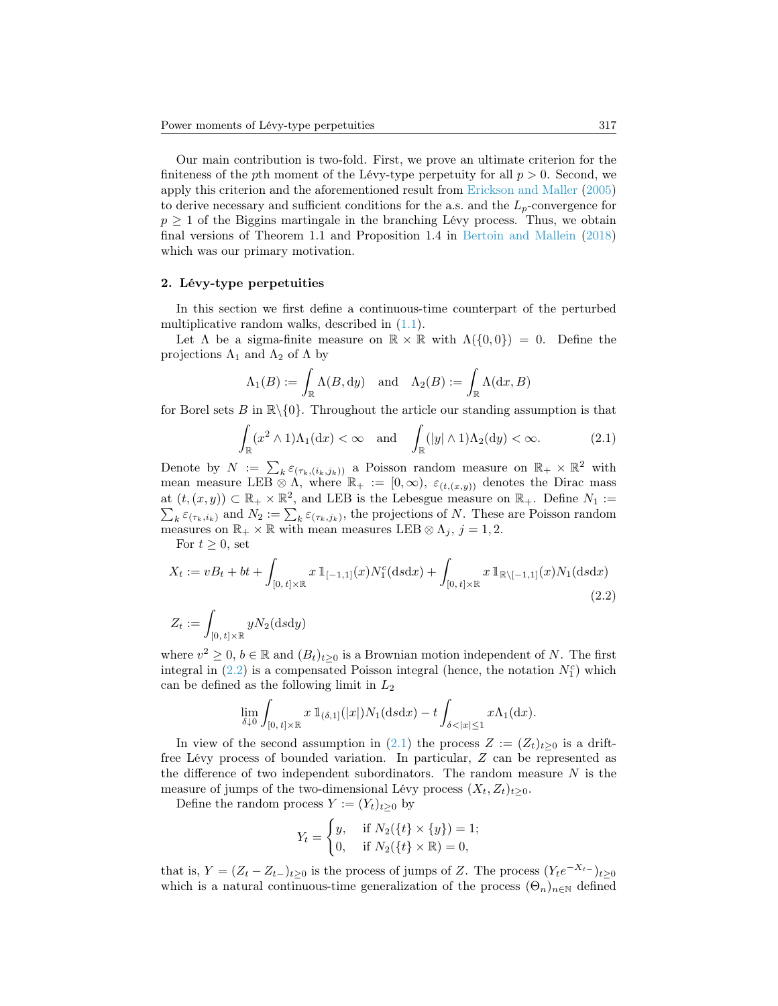Our main contribution is two-fold. First, we prove an ultimate criterion for the finiteness of the pth moment of the Lévy-type perpetuity for all  $p > 0$ . Second, we apply this criterion and the aforementioned result from [Erickson and Maller](#page-15-0) [\(2005\)](#page-15-0) to derive necessary and sufficient conditions for the a.s. and the  $L_p$ -convergence for  $p \geq 1$  of the Biggins martingale in the branching Lévy process. Thus, we obtain final versions of Theorem 1.1 and Proposition 1.4 in [Bertoin and Mallein](#page-14-0) [\(2018\)](#page-14-0) which was our primary motivation.

#### <span id="page-2-2"></span>2. Lévy-type perpetuities

In this section we first define a continuous-time counterpart of the perturbed multiplicative random walks, described in [\(1.1\)](#page-1-0).

Let  $\Lambda$  be a sigma-finite measure on  $\mathbb{R} \times \mathbb{R}$  with  $\Lambda(\{0,0\}) = 0$ . Define the projections  $\Lambda_1$  and  $\Lambda_2$  of  $\Lambda$  by

$$
\Lambda_1(B) := \int_{\mathbb{R}} \Lambda(B, dy) \quad \text{and} \quad \Lambda_2(B) := \int_{\mathbb{R}} \Lambda(dx, B)
$$

for Borel sets B in  $\mathbb{R}\setminus\{0\}$ . Throughout the article our standing assumption is that

<span id="page-2-1"></span>
$$
\int_{\mathbb{R}} (x^2 \wedge 1) \Lambda_1(\mathrm{d}x) < \infty \quad \text{and} \quad \int_{\mathbb{R}} (|y| \wedge 1) \Lambda_2(\mathrm{d}y) < \infty. \tag{2.1}
$$

Denote by  $N := \sum_k \varepsilon_{(\tau_k,(i_k,j_k))}$  a Poisson random measure on  $\mathbb{R}_+ \times \mathbb{R}^2$  with mean measure LEB  $\otimes \Lambda$ , where  $\mathbb{R}_+ := [0, \infty), \varepsilon_{(t,(x,y))}$  denotes the Dirac mass at  $(t, (x, y)) \subset \mathbb{R}_+ \times \mathbb{R}^2$ , and LEB is the Lebesgue measure on  $\mathbb{R}_+$ . Define  $N_1 :=$  $\sum_{k} \varepsilon_{(\tau_k,i_k)}$  and  $N_2 := \sum_{k} \varepsilon_{(\tau_k,j_k)}$ , the projections of N. These are Poisson random measures on  $\mathbb{R}_+ \times \mathbb{R}$  with mean measures LEB  $\otimes \Lambda_j$ ,  $j = 1, 2$ .

For  $t \geq 0$ , set

$$
X_t := vB_t + bt + \int_{[0, t] \times \mathbb{R}} x \, \mathbb{1}_{[-1, 1]}(x) N_1^c(\text{d} s \text{d} x) + \int_{[0, t] \times \mathbb{R}} x \, \mathbb{1}_{\mathbb{R} \setminus [-1, 1]}(x) N_1(\text{d} s \text{d} x)
$$
\n(2.2)

$$
Z_t := \int_{[0, t] \times \mathbb{R}} y N_2(\mathrm{d} s \mathrm{d} y)
$$

where  $v^2 \geq 0$ ,  $b \in \mathbb{R}$  and  $(B_t)_{t\geq 0}$  is a Brownian motion independent of N. The first integral in  $(2.2)$  is a compensated Poisson integral (hence, the notation  $N_1^c$ ) which can be defined as the following limit in  $L_2$ 

<span id="page-2-0"></span>
$$
\lim_{\delta \downarrow 0} \int_{[0, t] \times \mathbb{R}} x \, \mathbb{1}_{(\delta, 1]}(|x|) N_1(\mathrm{d} s \mathrm{d} x) - t \int_{\delta < |x| \le 1} x \Lambda_1(\mathrm{d} x).
$$

In view of the second assumption in [\(2.1\)](#page-2-1) the process  $Z := (Z_t)_{t>0}$  is a driftfree Lévy process of bounded variation. In particular, Z can be represented as the difference of two independent subordinators. The random measure  $N$  is the measure of jumps of the two-dimensional Lévy process  $(X_t, Z_t)_{t>0}$ .

Define the random process  $Y := (Y_t)_{t \geq 0}$  by

$$
Y_t = \begin{cases} y, & \text{if } N_2(\{t\} \times \{y\}) = 1; \\ 0, & \text{if } N_2(\{t\} \times \mathbb{R}) = 0, \end{cases}
$$

that is,  $Y = (Z_t - Z_{t-})_{t \geq 0}$  is the process of jumps of Z. The process  $(Y_t e^{-X_{t-}})_{t \geq 0}$ which is a natural continuous-time generalization of the process  $(\Theta_n)_{n\in\mathbb{N}}$  defined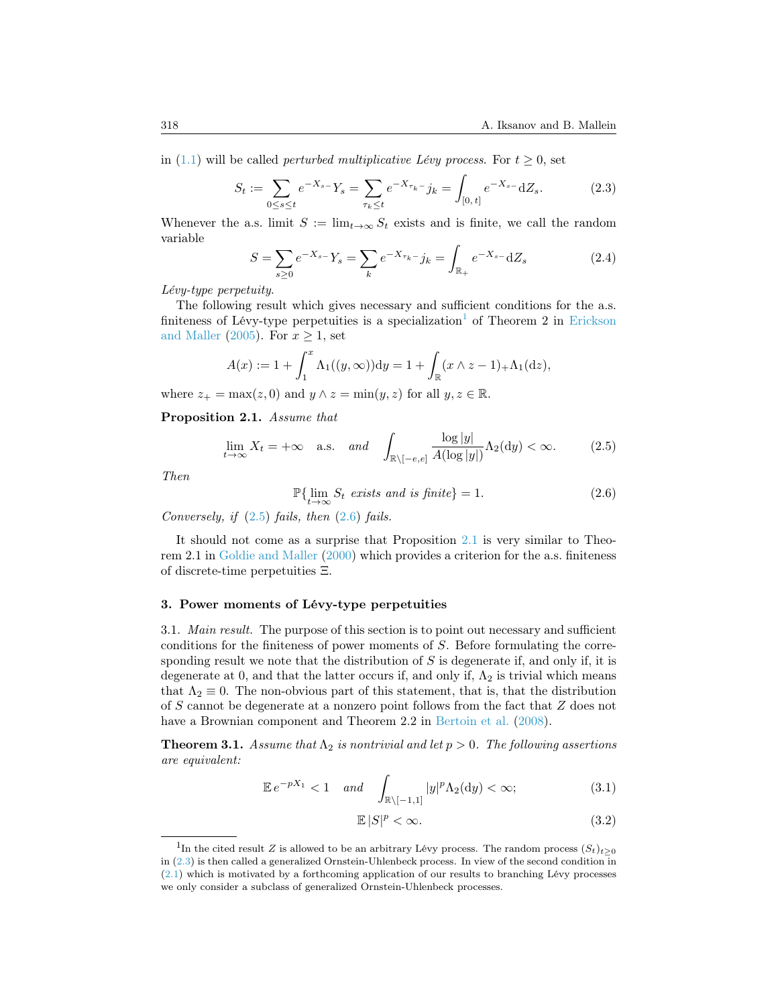in [\(1.1\)](#page-1-0) will be called *perturbed multiplicative Lévy process*. For  $t \geq 0$ , set

<span id="page-3-4"></span>
$$
S_t := \sum_{0 \le s \le t} e^{-X_{s-}} Y_s = \sum_{\tau_k \le t} e^{-X_{\tau_k}} j_k = \int_{[0, t]} e^{-X_{s-}} \mathrm{d}Z_s. \tag{2.3}
$$

Whenever the a.s. limit  $S := \lim_{t\to\infty} S_t$  exists and is finite, we call the random variable

<span id="page-3-9"></span>
$$
S = \sum_{s \ge 0} e^{-X_s - Y_s} = \sum_k e^{-X_{\tau_k} - j_k} = \int_{\mathbb{R}_+} e^{-X_{s-1}} \, dZ_s \tag{2.4}
$$

Lévy-type perpetuity.

The following result which gives necessary and sufficient conditions for the a.s. finiteness of Lévy-type perpetuities is a specialization<sup>[1](#page-3-0)</sup> of Theorem 2 in [Erickson](#page-15-0) [and Maller](#page-15-0) [\(2005\)](#page-15-0). For  $x \geq 1$ , set

$$
A(x) := 1 + \int_1^x \Lambda_1((y, \infty)) dy = 1 + \int_{\mathbb{R}} (x \wedge z - 1)_+ \Lambda_1(\mathrm{d}z),
$$

where  $z_+ = \max(z, 0)$  and  $y \wedge z = \min(y, z)$  for all  $y, z \in \mathbb{R}$ .

<span id="page-3-3"></span>Proposition 2.1. Assume that

<span id="page-3-1"></span>
$$
\lim_{t \to \infty} X_t = +\infty \quad \text{a.s.} \quad \text{and} \quad \int_{\mathbb{R} \setminus [-e,e]} \frac{\log |y|}{A(\log |y|)} \Lambda_2(\mathrm{d}y) < \infty. \tag{2.5}
$$

Then

<span id="page-3-2"></span>
$$
\mathbb{P}\{\lim_{t \to \infty} S_t \text{ exists and is finite}\} = 1. \tag{2.6}
$$

Conversely, if  $(2.5)$  fails, then  $(2.6)$  fails.

It should not come as a surprise that Proposition [2.1](#page-3-3) is very similar to Theorem 2.1 in [Goldie and Maller](#page-15-9) [\(2000\)](#page-15-9) which provides a criterion for the a.s. finiteness of discrete-time perpetuities Ξ.

## 3. Power moments of Lévy-type perpetuities

<span id="page-3-8"></span>3.1. Main result. The purpose of this section is to point out necessary and sufficient conditions for the finiteness of power moments of S. Before formulating the corresponding result we note that the distribution of  $S$  is degenerate if, and only if, it is degenerate at 0, and that the latter occurs if, and only if,  $\Lambda_2$  is trivial which means that  $\Lambda_2 \equiv 0$ . The non-obvious part of this statement, that is, that the distribution of S cannot be degenerate at a nonzero point follows from the fact that Z does not have a Brownian component and Theorem 2.2 in [Bertoin et al.](#page-14-4) [\(2008\)](#page-14-4).

<span id="page-3-5"></span>**Theorem 3.1.** Assume that  $\Lambda_2$  is nontrivial and let  $p > 0$ . The following assertions are equivalent:

<span id="page-3-6"></span>
$$
\mathbb{E}e^{-pX_1} < 1 \quad \text{and} \quad \int_{\mathbb{R}\setminus[-1,1]} |y|^p \Lambda_2(\mathrm{d}y) < \infty; \tag{3.1}
$$

<span id="page-3-7"></span>
$$
\mathbb{E}\left|S\right|^p < \infty. \tag{3.2}
$$

<span id="page-3-0"></span><sup>&</sup>lt;sup>1</sup>In the cited result Z is allowed to be an arbitrary Lévy process. The random process  $(S_t)_{t\geq 0}$ in [\(2.3\)](#page-3-4) is then called a generalized Ornstein-Uhlenbeck process. In view of the second condition in [\(2.1\)](#page-2-1) which is motivated by a forthcoming application of our results to branching Lévy processes we only consider a subclass of generalized Ornstein-Uhlenbeck processes.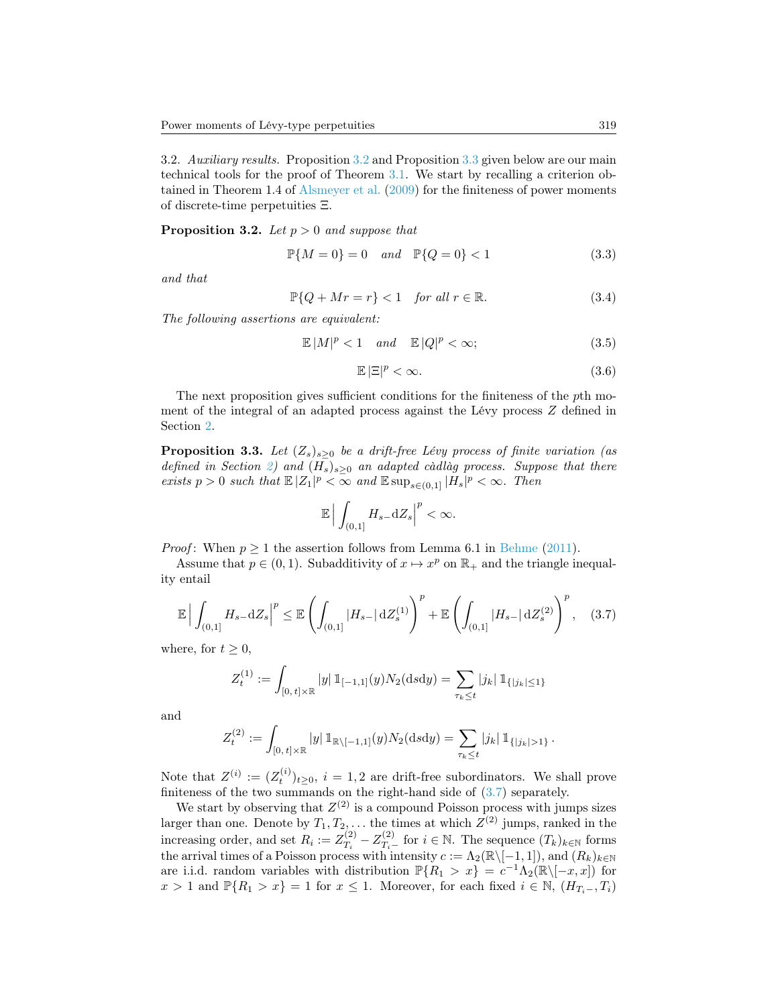3.2. Auxiliary results. Proposition [3.2](#page-4-0) and Proposition [3.3](#page-4-1) given below are our main technical tools for the proof of Theorem [3.1.](#page-3-5) We start by recalling a criterion obtained in Theorem 1.4 of [Alsmeyer et al.](#page-14-5) [\(2009\)](#page-14-5) for the finiteness of power moments of discrete-time perpetuities Ξ.

<span id="page-4-0"></span>**Proposition 3.2.** Let  $p > 0$  and suppose that

$$
\mathbb{P}\{M=0\} = 0 \quad and \quad \mathbb{P}\{Q=0\} < 1 \tag{3.3}
$$

and that

$$
\mathbb{P}\{Q + Mr = r\} < 1 \quad \text{for all } r \in \mathbb{R}.\tag{3.4}
$$

The following assertions are equivalent:

$$
\mathbb{E}\left|M\right|^{p} < 1 \quad \text{and} \quad \mathbb{E}\left|Q\right|^{p} < \infty; \tag{3.5}
$$

$$
\mathbb{E}\left[\Xi\right]^p < \infty. \tag{3.6}
$$

The next proposition gives sufficient conditions for the finiteness of the pth moment of the integral of an adapted process against the Lévy process Z defined in Section [2.](#page-2-2)

<span id="page-4-1"></span>**Proposition 3.3.** Let  $(Z_s)_{s>0}$  be a drift-free Lévy process of finite variation (as defined in Section [2\)](#page-2-2) and  $(H_s)_{s\geq 0}$  an adapted càdlàg process. Suppose that there exists  $p > 0$  such that  $\mathbb{E}|Z_1|^p < \infty$  and  $\mathbb{E} \sup_{s \in (0,1]} |H_s|^p < \infty$ . Then

$$
\mathbb{E}\Big|\int_{(0,1]}H_{s-}\mathrm{d}Z_s\Big|^p<\infty.
$$

*Proof*: When  $p \ge 1$  the assertion follows from Lemma 6.1 in [Behme](#page-14-6) [\(2011\)](#page-14-6).

Assume that  $p \in (0, 1)$ . Subadditivity of  $x \mapsto x^p$  on  $\mathbb{R}_+$  and the triangle inequality entail

<span id="page-4-2"></span>
$$
\mathbb{E}\left|\int_{(0,1]}H_{s-}dZ_{s}\right|^{p} \leq \mathbb{E}\left(\int_{(0,1]}|H_{s-}|\,\mathrm{d}Z_{s}^{(1)}\right)^{p} + \mathbb{E}\left(\int_{(0,1]}|H_{s-}|\,\mathrm{d}Z_{s}^{(2)}\right)^{p},\quad(3.7)
$$

where, for  $t \geq 0$ ,

$$
Z_t^{(1)} := \int_{[0, t] \times \mathbb{R}} |y| \, \mathbb{1}_{[-1, 1]}(y) N_2(\text{d} s \text{d} y) = \sum_{\tau_k \leq t} |j_k| \, \mathbb{1}_{\{|j_k| \leq 1\}}
$$

and

$$
Z_t^{(2)} := \int_{[0, t] \times \mathbb{R}} |y| \, \mathbb{1}_{\mathbb{R} \setminus [-1, 1]}(y) N_2(\text{d} s \text{d} y) = \sum_{\tau_k \leq t} |j_k| \, \mathbb{1}_{\{|j_k| > 1\}}.
$$

Note that  $Z^{(i)} := (Z_t^{(i)})_{t \geq 0}, i = 1, 2$  are drift-free subordinators. We shall prove finiteness of the two summands on the right-hand side of  $(3.7)$  separately.

We start by observing that  $Z^{(2)}$  is a compound Poisson process with jumps sizes larger than one. Denote by  $T_1, T_2, \ldots$  the times at which  $Z^{(2)}$  jumps, ranked in the increasing order, and set  $R_i := Z_{T_i}^{(2)}$  $T_i^{(2)} - Z_{T_i}^{(2)}$  for  $i \in \mathbb{N}$ . The sequence  $(T_k)_{k \in \mathbb{N}}$  forms the arrival times of a Poisson process with intensity  $c := \Lambda_2(\mathbb{R} \setminus [-1, 1])$ , and  $(R_k)_{k \in \mathbb{N}}$ are i.i.d. random variables with distribution  $\mathbb{P}\{R_1 > x\} = c^{-1}\Lambda_2(\mathbb{R}\setminus[-x,x])$  for  $x > 1$  and  $\mathbb{P}{R_1 > x} = 1$  for  $x \le 1$ . Moreover, for each fixed  $i \in \mathbb{N}$ ,  $(H_{T_i-}, T_i)$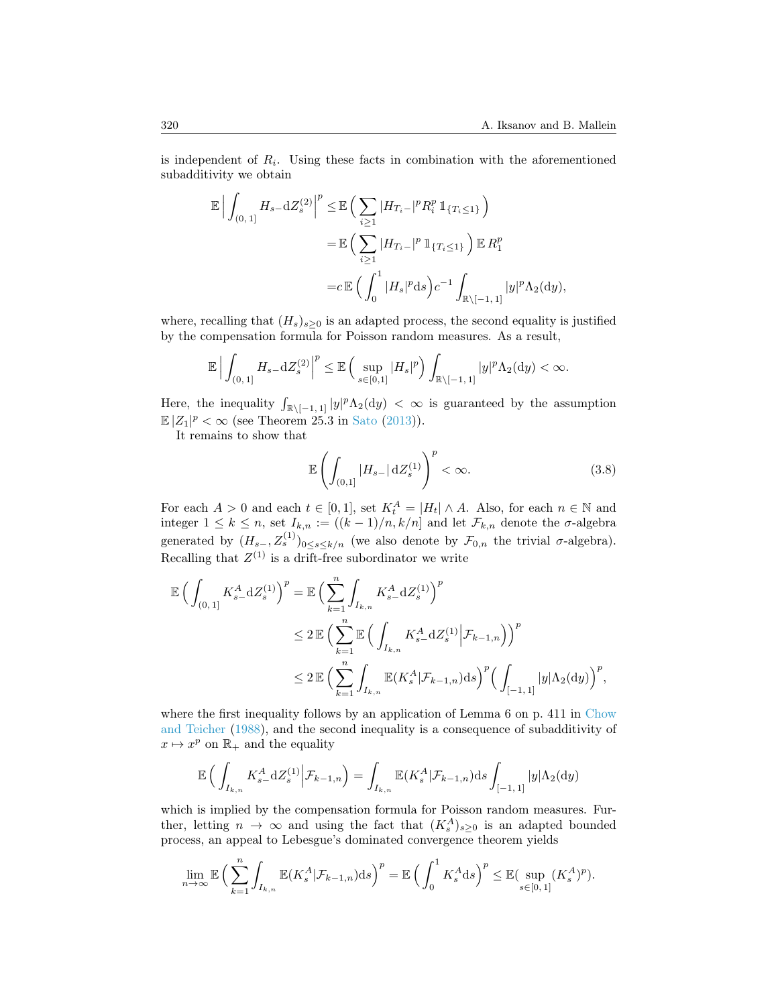is independent of  $R_i$ . Using these facts in combination with the aforementioned subadditivity we obtain

$$
\mathbb{E} \Big| \int_{(0,1]} H_{s-} \mathrm{d}Z_s^{(2)} \Big|^p \leq \mathbb{E} \Big( \sum_{i \geq 1} |H_{T_i-}|^p R_i^p 1\!\!1_{\{T_i \leq 1\}} \Big) \n= \mathbb{E} \Big( \sum_{i \geq 1} |H_{T_i-}|^p 1\!\!1_{\{T_i \leq 1\}} \Big) \mathbb{E} R_1^p \n= c \mathbb{E} \Big( \int_0^1 |H_s|^p \mathrm{d}S \Big) c^{-1} \int_{\mathbb{R} \setminus [-1,1]} |y|^p \Lambda_2(\mathrm{d}y),
$$

where, recalling that  $(H_s)_{s\geq 0}$  is an adapted process, the second equality is justified by the compensation formula for Poisson random measures. As a result,

$$
\mathbb{E}\Big|\int_{(0,1]}H_{s-} \mathrm{d}Z_s^{(2)}\Big|^p \leq \mathbb{E}\,\Big(\sup_{s\in[0,1]}|H_s|^p\Big)\int_{\mathbb{R}\setminus[-1,1]}|y|^p\Lambda_2(\mathrm{d}y)<\infty.
$$

Here, the inequality  $\int_{\mathbb{R}\setminus[-1,1]} |y|^p \Lambda_2(\mathrm{d}y) < \infty$  is guaranteed by the assumption  $\mathbb{E}|Z_1|^p < \infty$  (see Theorem 25.3 in [Sato](#page-16-0) [\(2013\)](#page-16-0)).

It remains to show that

<span id="page-5-0"></span>
$$
\mathbb{E}\left(\int_{(0,1]}|H_{s-}|\,\mathrm{d}Z_s^{(1)}\right)^p<\infty.\tag{3.8}
$$

For each  $A > 0$  and each  $t \in [0,1]$ , set  $K_t^A = |H_t| \wedge A$ . Also, for each  $n \in \mathbb{N}$  and integer  $1 \leq k \leq n$ , set  $I_{k,n} := ((k-1)/n, k/n]$  and let  $\mathcal{F}_{k,n}$  denote the  $\sigma$ -algebra generated by  $(H_{s-}, Z_s^{(1)})_{0 \le s \le k/n}$  (we also denote by  $\mathcal{F}_{0,n}$  the trivial  $\sigma$ -algebra). Recalling that  $Z^{(1)}$  is a drift-free subordinator we write

$$
\mathbb{E}\left(\int_{(0,1]} K_{s-}^{A} dZ_{s}^{(1)}\right)^{p} = \mathbb{E}\left(\sum_{k=1}^{n} \int_{I_{k,n}} K_{s-}^{A} dZ_{s}^{(1)}\right)^{p}
$$
  

$$
\leq 2 \mathbb{E}\left(\sum_{k=1}^{n} \mathbb{E}\left(\int_{I_{k,n}} K_{s-}^{A} dZ_{s}^{(1)} \Big| \mathcal{F}_{k-1,n}\right)\right)^{p}
$$
  

$$
\leq 2 \mathbb{E}\left(\sum_{k=1}^{n} \int_{I_{k,n}} \mathbb{E}(K_{s}^{A} | \mathcal{F}_{k-1,n}) ds\right)^{p} \left(\int_{[-1,1]} |y| \Lambda_{2}(dy)\right)^{p},
$$

where the first inequality follows by an application of Lemma 6 on p. 411 in [Chow](#page-15-10) [and Teicher](#page-15-10) [\(1988\)](#page-15-10), and the second inequality is a consequence of subadditivity of  $x \mapsto x^p$  on  $\mathbb{R}_+$  and the equality

$$
\mathbb{E}\left(\int_{I_{k,n}} K_{s-}^{A} dZ_{s}^{(1)}\Big| \mathcal{F}_{k-1,n}\right) = \int_{I_{k,n}} \mathbb{E}(K_{s}^{A}|\mathcal{F}_{k-1,n}) ds \int_{[-1,1]} |y|\Lambda_{2}(dy)
$$

which is implied by the compensation formula for Poisson random measures. Further, letting  $n \to \infty$  and using the fact that  $(K_s^A)_{s \geq 0}$  is an adapted bounded process, an appeal to Lebesgue's dominated convergence theorem yields

$$
\lim_{n\to\infty}\mathbb{E}\Big(\sum_{k=1}^n\int_{I_{k,n}}\mathbb{E}(K_s^A|\mathcal{F}_{k-1,n})\mathrm{d} s\Big)^p=\mathbb{E}\Big(\int_0^1K_s^A\mathrm{d} s\Big)^p\leq\mathbb{E}(\sup_{s\in[0,1]}(K_s^A)^p).
$$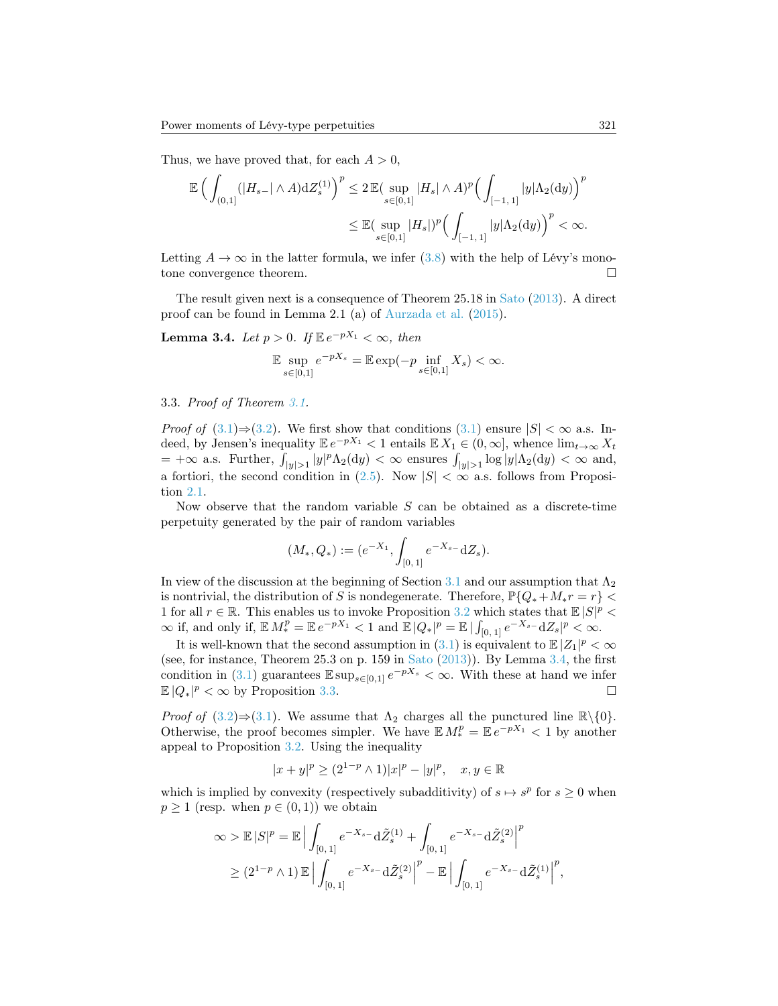Thus, we have proved that, for each  $A > 0$ ,

$$
\begin{split} \mathbb{E}\,\Big(\int_{(0,1]}(|H_{s-}|\wedge A)\mathrm{d}Z^{(1)}_s\Big)^p &\leq 2\,\mathbb{E}(\sup_{s\in[0,1]}|H_s|\wedge A)^p\Big(\int_{[-1,\,1]}|y|\Lambda_2(\mathrm{d}y)\Big)^p\\ &\leq \mathbb{E}(\sup_{s\in[0,1]}|H_s|)^p\Big(\int_{[-1,\,1]}|y|\Lambda_2(\mathrm{d}y)\Big)^p<\infty. \end{split}
$$

Letting  $A \to \infty$  in the latter formula, we infer [\(3.8\)](#page-5-0) with the help of Lévy's monotone convergence theorem.

The result given next is a consequence of Theorem 25.18 in [Sato](#page-16-0) [\(2013\)](#page-16-0). A direct proof can be found in Lemma 2.1 (a) of [Aurzada et al.](#page-14-7) [\(2015\)](#page-14-7).

<span id="page-6-0"></span>**Lemma 3.4.** Let  $p > 0$ . If  $\mathbb{E}e^{-pX_1} < \infty$ , then

$$
\mathbb{E}\sup_{s\in[0,1]}e^{-pX_s}=\mathbb{E}\exp(-p\inf_{s\in[0,1]}X_s)<\infty.
$$

#### 3.3. Proof of Theorem [3.1.](#page-3-5)

*Proof of* [\(3.1\)](#page-3-6)⇒[\(3.2\)](#page-3-7). We first show that conditions (3.1) ensure  $|S| < \infty$  a.s. Indeed, by Jensen's inequality  $\mathbb{E} e^{-pX_1} < 1$  entails  $\mathbb{E} X_1 \in (0,\infty]$ , whence  $\lim_{t\to\infty} X_t$  $= +\infty$  a.s. Further,  $\int_{|y|>1} |y|^p \Lambda_2(\mathrm{d}y) < \infty$  ensures  $\int_{|y|>1} \log |y| \Lambda_2(\mathrm{d}y) < \infty$  and, a fortiori, the second condition in  $(2.5)$ . Now  $|S| < \infty$  a.s. follows from Proposition [2.1.](#page-3-3)

Now observe that the random variable  $S$  can be obtained as a discrete-time perpetuity generated by the pair of random variables

$$
(M_*, Q_*) := (e^{-X_1}, \int_{[0,1]} e^{-X_{s-}} \mathrm{d}Z_s).
$$

In view of the discussion at the beginning of Section [3.1](#page-3-8) and our assumption that  $\Lambda_2$ is nontrivial, the distribution of S is nondegenerate. Therefore,  $\mathbb{P}\{Q_*+M_*r=r\}$  < 1 for all  $r \in \mathbb{R}$ . This enables us to invoke Proposition [3.2](#page-4-0) which states that  $\mathbb{E}|S|^p$  $\infty$  if, and only if,  $\mathbb{E} M_*^p = \mathbb{E} e^{-pX_1} < 1$  and  $\mathbb{E} |Q_*|^p = \mathbb{E} | \int_{[0,1]} e^{-X_{s-1}} \mathrm{d}Z_s|^p < \infty$ .

It is well-known that the second assumption in [\(3.1\)](#page-3-6) is equivalent to  $\mathbb{E}|Z_1|^p < \infty$ (see, for instance, Theorem 25.3 on p. 159 in [Sato](#page-16-0) [\(2013\)](#page-16-0)). By Lemma [3.4,](#page-6-0) the first condition in [\(3.1\)](#page-3-6) guarantees  $\mathbb{E} \sup_{s \in [0,1]} e^{-pX_s} < \infty$ . With these at hand we infer  $\mathbb{E}|Q_*|^p < \infty$  by Proposition [3.3.](#page-4-1)

*Proof of*  $(3.2) \Rightarrow (3.1)$  $(3.2) \Rightarrow (3.1)$  $(3.2) \Rightarrow (3.1)$ . We assume that  $\Lambda_2$  charges all the punctured line  $\mathbb{R}\setminus\{0\}$ . Otherwise, the proof becomes simpler. We have  $\mathbb{E} M_*^p = \mathbb{E} e^{-pX_1} < 1$  by another appeal to Proposition [3.2.](#page-4-0) Using the inequality

$$
|x + y|^p \ge (2^{1-p} \wedge 1)|x|^p - |y|^p, \quad x, y \in \mathbb{R}
$$

which is implied by convexity (respectively subadditivity) of  $s \mapsto s^p$  for  $s \geq 0$  when  $p \ge 1$  (resp. when  $p \in (0,1)$ ) we obtain

$$
\infty > \mathbb{E} |S|^p = \mathbb{E} \Big| \int_{[0,1]} e^{-X_{s-}} \mathrm{d} \tilde{Z}_s^{(1)} + \int_{[0,1]} e^{-X_{s-}} \mathrm{d} \tilde{Z}_s^{(2)} \Big|^p
$$
  
\n
$$
\geq (2^{1-p} \wedge 1) \mathbb{E} \Big| \int_{[0,1]} e^{-X_{s-}} \mathrm{d} \tilde{Z}_s^{(2)} \Big|^p - \mathbb{E} \Big| \int_{[0,1]} e^{-X_{s-}} \mathrm{d} \tilde{Z}_s^{(1)} \Big|^p
$$

,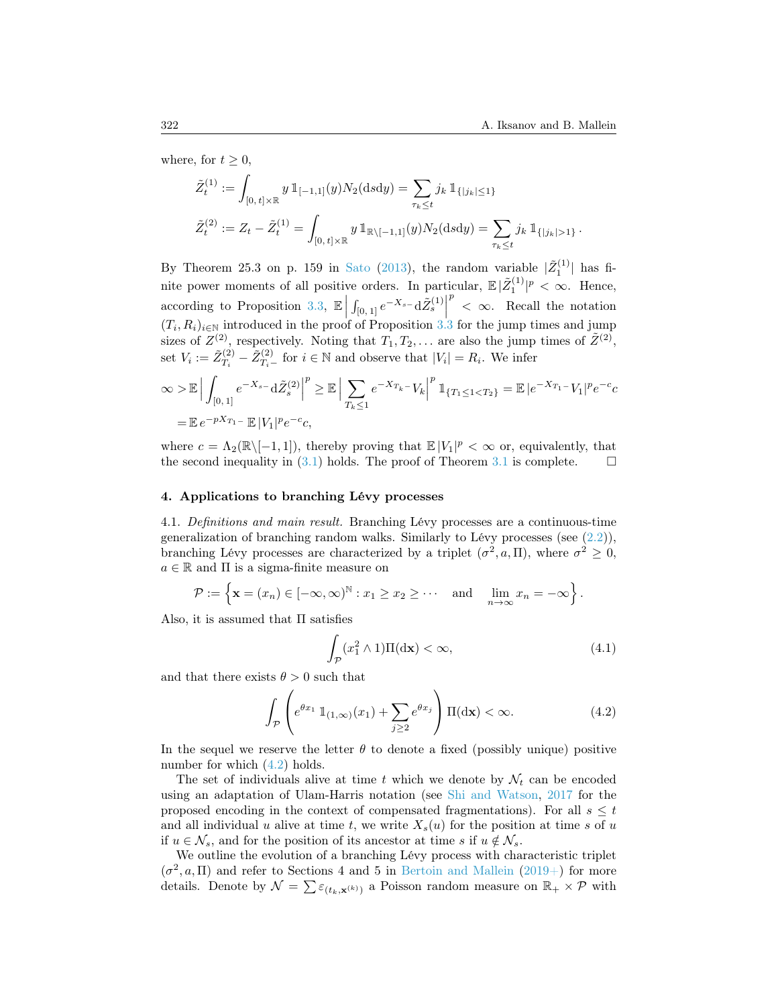where, for  $t \geq 0$ ,

$$
\tilde{Z}_{t}^{(1)} := \int_{[0, t] \times \mathbb{R}} y \, \mathbb{1}_{[-1,1]}(y) N_2(\text{d} s \text{d} y) = \sum_{\tau_k \leq t} j_k \, \mathbb{1}_{\{|j_k| \leq 1\}} \n\tilde{Z}_{t}^{(2)} := Z_t - \tilde{Z}_{t}^{(1)} = \int_{[0, t] \times \mathbb{R}} y \, \mathbb{1}_{\mathbb{R} \setminus [-1,1]}(y) N_2(\text{d} s \text{d} y) = \sum_{\tau_k \leq t} j_k \, \mathbb{1}_{\{|j_k| > 1\}}.
$$

By Theorem 25.3 on p. 159 in [Sato](#page-16-0) [\(2013\)](#page-16-0), the random variable  $|\tilde{Z}_1^{(1)}|$  has finite power moments of all positive orders. In particular,  $\mathbb{E} |\tilde{Z}_1^{(1)}|^p < \infty$ . Hence, according to Proposition [3.3,](#page-4-1)  $\mathbb{E}\left[\int_{[0,1]}e^{-X_s}-d\tilde{Z}_s^{(1)}\right]$  $(T_i, R_i)_{i \in \mathbb{N}}$  introduced in the proof of Proposition [3.3](#page-4-1) for the jump times and jump  $p \leq \infty$ . Recall the notation sizes of  $Z^{(2)}$ , respectively. Noting that  $T_1, T_2, \ldots$  are also the jump times of  $\tilde{Z}^{(2)}$ , set  $V_i := \tilde{Z}_{T_i}^{(2)}$  $T_i^{(2)} - \tilde{Z}_{T_i}^{(2)}$  for  $i \in \mathbb{N}$  and observe that  $|V_i| = R_i$ . We infer

$$
\infty > \mathbb{E} \Big| \int_{[0,1]} e^{-X_{s-1}} d\tilde{Z}_{s}^{(2)} \Big|^{p} \geq \mathbb{E} \Big| \sum_{T_{k} \leq 1} e^{-X_{T_{k}} - V_{k}} \Big|^{p} \mathbb{1}_{\{T_{1} \leq 1 < T_{2}\}} = \mathbb{E} \Big| e^{-X_{T_{1}} - V_{1}} \Big|^{p} e^{-c} c
$$
  
=  $\mathbb{E} e^{-pX_{T_{1}} - \mathbb{E} \Big| V_{1} \Big|^{p} e^{-c} c},$ 

where  $c = \Lambda_2(\mathbb{R}\setminus[-1,1])$ , thereby proving that  $\mathbb{E}|V_1|^p < \infty$  or, equivalently, that the second inequality in [\(3.1\)](#page-3-6) holds. The proof of Theorem [3.1](#page-3-5) is complete.  $\square$ 

## 4. Applications to branching Lévy processes

<span id="page-7-2"></span>4.1. Definitions and main result. Branching Lévy processes are a continuous-time generalization of branching random walks. Similarly to Lévy processes (see [\(2.2\)](#page-2-0)), branching Lévy processes are characterized by a triplet  $(\sigma^2, a, \Pi)$ , where  $\sigma^2 \geq 0$ ,  $a \in \mathbb{R}$  and  $\Pi$  is a sigma-finite measure on

$$
\mathcal{P} := \left\{ \mathbf{x} = (x_n) \in [-\infty, \infty)^{\mathbb{N}} : x_1 \geq x_2 \geq \cdots \text{ and } \lim_{n \to \infty} x_n = -\infty \right\}.
$$

Also, it is assumed that  $\Pi$  satisfies

<span id="page-7-1"></span>
$$
\int_{\mathcal{P}} (x_1^2 \wedge 1) \Pi(\mathrm{d}\mathbf{x}) < \infty,\tag{4.1}
$$

and that there exists  $\theta > 0$  such that

<span id="page-7-0"></span>
$$
\int_{\mathcal{P}} \left( e^{\theta x_1} \mathbb{1}_{(1,\infty)}(x_1) + \sum_{j\geq 2} e^{\theta x_j} \right) \Pi(\mathrm{d}\mathbf{x}) < \infty. \tag{4.2}
$$

In the sequel we reserve the letter  $\theta$  to denote a fixed (possibly unique) positive number for which  $(4.2)$  holds.

The set of individuals alive at time t which we denote by  $\mathcal{N}_t$  can be encoded using an adaptation of Ulam-Harris notation (see [Shi and Watson,](#page-16-1) [2017](#page-16-1) for the proposed encoding in the context of compensated fragmentations). For all  $s \leq t$ and all individual u alive at time t, we write  $X_s(u)$  for the position at time s of u if  $u \in \mathcal{N}_s$ , and for the position of its ancestor at time s if  $u \notin \mathcal{N}_s$ .

We outline the evolution of a branching Lévy process with characteristic triplet  $(\sigma^2, a, \Pi)$  and refer to Sections 4 and 5 in [Bertoin and Mallein](#page-14-8) [\(2019+\)](#page-14-8) for more details. Denote by  $\mathcal{N} = \sum \varepsilon_{(t_k,\mathbf{x}^{(k)})}$  a Poisson random measure on  $\mathbb{R}_+ \times \mathcal{P}$  with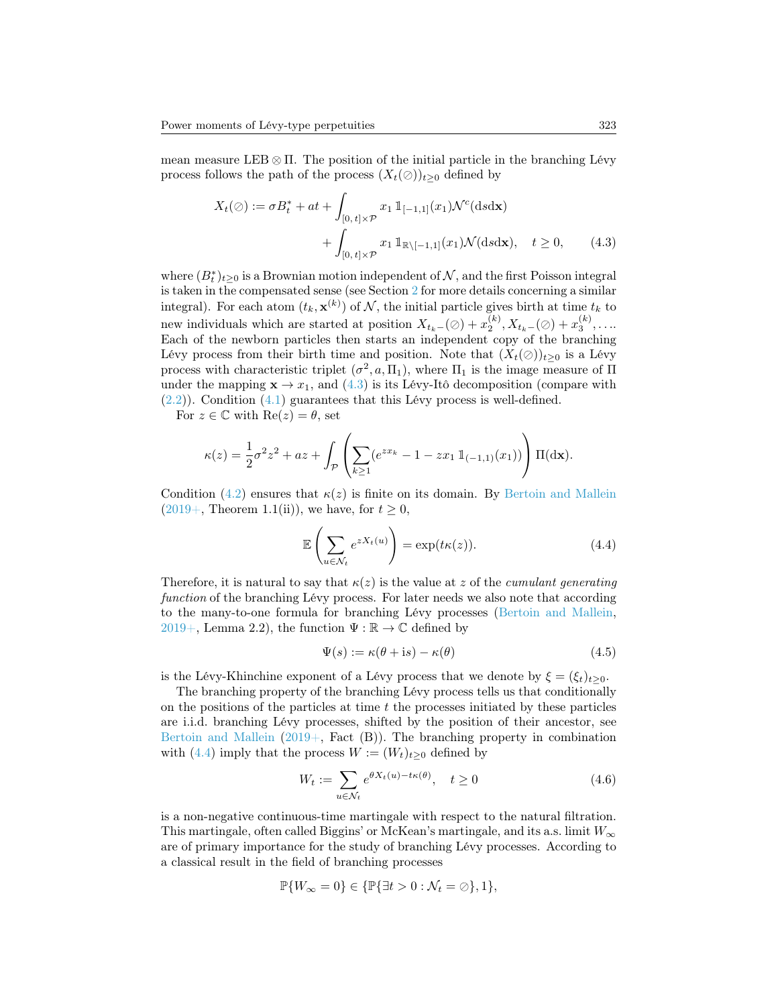mean measure LEB  $\otimes$  Π. The position of the initial particle in the branching Lévy process follows the path of the process  $(X_t(\emptyset))_{t\geq0}$  defined by

<span id="page-8-0"></span>
$$
X_t(\emptyset) := \sigma B_t^* + at + \int_{[0, t] \times \mathcal{P}} x_1 \mathbb{1}_{[-1, 1]}(x_1) \mathcal{N}^c(\text{d}s \text{d}\mathbf{x}) + \int_{[0, t] \times \mathcal{P}} x_1 \mathbb{1}_{\mathbb{R} \setminus [-1, 1]}(x_1) \mathcal{N}(\text{d}s \text{d}\mathbf{x}), \quad t \ge 0,
$$
 (4.3)

where  $(B_t^*)_{t\geq 0}$  is a Brownian motion independent of  $\mathcal N$ , and the first Poisson integral is taken in the compensated sense (see Section [2](#page-2-2) for more details concerning a similar integral). For each atom  $(t_k, \mathbf{x}^{(k)})$  of  $\mathcal{N}$ , the initial particle gives birth at time  $t_k$  to new individuals which are started at position  $X_{t_k-}(\varnothing) + x_2^{(k)}, X_{t_k-}(\varnothing) + x_3^{(k)}, \ldots$ Each of the newborn particles then starts an independent copy of the branching Lévy process from their birth time and position. Note that  $(X_t(\emptyset))_{t>0}$  is a Lévy process with characteristic triplet  $(\sigma^2, a, \Pi_1)$ , where  $\Pi_1$  is the image measure of  $\Pi$ under the mapping  $\mathbf{x} \to x_1$ , and [\(4.3\)](#page-8-0) is its Lévy-Itô decomposition (compare with  $(2.2)$ ). Condition  $(4.1)$  guarantees that this Lévy process is well-defined.

For  $z \in \mathbb{C}$  with  $\text{Re}(z) = \theta$ , set

$$
\kappa(z) = \frac{1}{2}\sigma^2 z^2 + az + \int_{\mathcal{P}} \left( \sum_{k \ge 1} (e^{zx_k} - 1 - zx_1 \mathbb{1}_{(-1,1)}(x_1)) \right) \Pi(\mathrm{d}\mathbf{x}).
$$

Condition [\(4.2\)](#page-7-0) ensures that  $\kappa(z)$  is finite on its domain. By [Bertoin and Mallein](#page-14-8)  $(2019+$ , Theorem 1.1(ii)), we have, for  $t \geq 0$ ,

<span id="page-8-1"></span>
$$
\mathbb{E}\left(\sum_{u\in\mathcal{N}_t}e^{zX_t(u)}\right) = \exp(t\kappa(z)).\tag{4.4}
$$

Therefore, it is natural to say that  $\kappa(z)$  is the value at z of the *cumulant generating* function of the branching Lévy process. For later needs we also note that according to the many-to-one formula for branching Lévy processes [\(Bertoin and Mallein,](#page-14-8) [2019+,](#page-14-8) Lemma 2.2), the function  $\Psi : \mathbb{R} \to \mathbb{C}$  defined by

<span id="page-8-2"></span>
$$
\Psi(s) := \kappa(\theta + \mathrm{i}s) - \kappa(\theta) \tag{4.5}
$$

is the Lévy-Khinchine exponent of a Lévy process that we denote by  $\xi = (\xi_t)_{t\geq 0}$ .

The branching property of the branching Lévy process tells us that conditionally on the positions of the particles at time  $t$  the processes initiated by these particles are i.i.d. branching Lévy processes, shifted by the position of their ancestor, see [Bertoin and Mallein](#page-14-8)  $(2019)$ , Fact  $(B)$ ). The branching property in combination with [\(4.4\)](#page-8-1) imply that the process  $W := (W_t)_{t>0}$  defined by

$$
W_t := \sum_{u \in \mathcal{N}_t} e^{\theta X_t(u) - t\kappa(\theta)}, \quad t \ge 0
$$
\n(4.6)

is a non-negative continuous-time martingale with respect to the natural filtration. This martingale, often called Biggins' or McKean's martingale, and its a.s. limit  $W_{\infty}$ are of primary importance for the study of branching Lévy processes. According to a classical result in the field of branching processes

$$
\mathbb{P}\{W_{\infty}=0\} \in \{\mathbb{P}\{\exists t>0:\mathcal{N}_t=\oslash\},1\},\
$$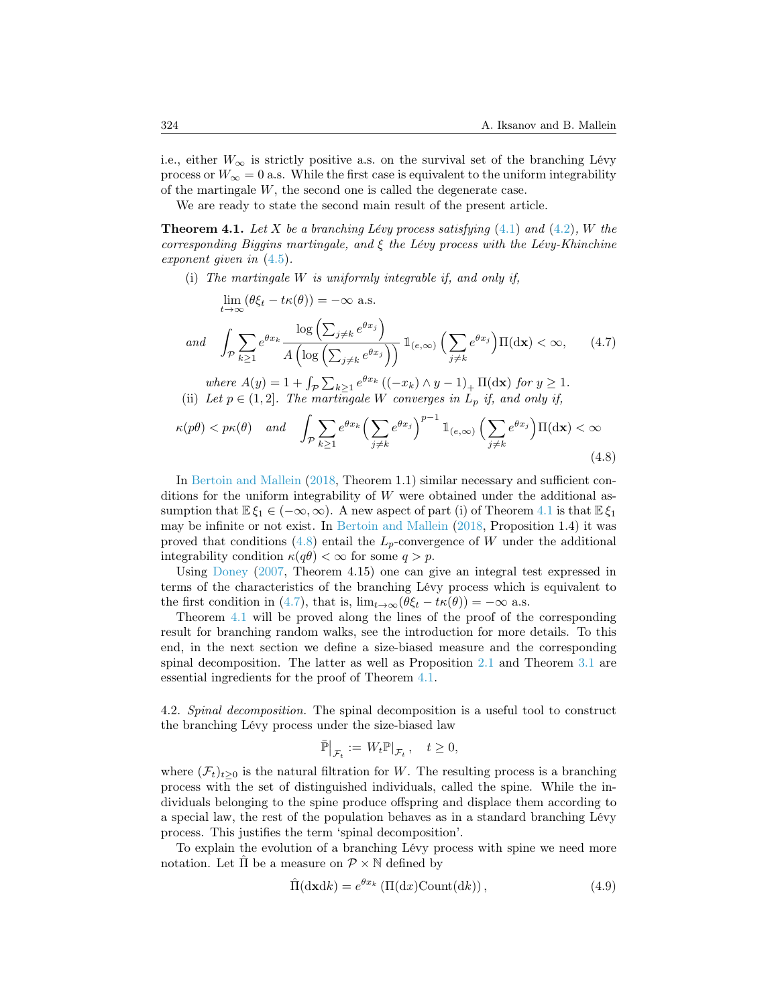i.e., either  $W_{\infty}$  is strictly positive a.s. on the survival set of the branching Lévy process or  $W_{\infty} = 0$  a.s. While the first case is equivalent to the uniform integrability of the martingale W, the second one is called the degenerate case.

We are ready to state the second main result of the present article.

<span id="page-9-0"></span>**Theorem 4.1.** Let X be a branching Lévy process satisfying  $(4.1)$  and  $(4.2)$ , W the corresponding Biggins martingale, and  $\xi$  the Lévy process with the Lévy-Khinchine exponent given in [\(4.5\)](#page-8-2).

(i) The martingale W is uniformly integrable if, and only if,

<span id="page-9-2"></span>
$$
\lim_{t \to \infty} (\theta \xi_t - t\kappa(\theta)) = -\infty \text{ a.s.}
$$

$$
and \quad \int_{\mathcal{P}} \sum_{k\geq 1} e^{\theta x_k} \frac{\log\left(\sum_{j\neq k} e^{\theta x_j}\right)}{A\left(\log\left(\sum_{j\neq k} e^{\theta x_j}\right)\right)} \mathbb{1}_{\left(e,\infty\right)} \left(\sum_{j\neq k} e^{\theta x_j}\right) \Pi(\mathrm{d}\mathbf{x}) < \infty,\qquad(4.7)
$$

where  $A(y) = 1 + \int_{\mathcal{P}} \sum_{k \ge 1} e^{\theta x_k} ((-x_k) \wedge y - 1)_+ \Pi(\mathrm{d} \mathbf{x})$  for  $y \ge 1$ . (ii) Let  $p \in (1,2]$ . The martingale W converges in  $L_p$  if, and only if,

<span id="page-9-1"></span>
$$
\kappa(p\theta) < p\kappa(\theta) \quad \text{and} \quad \int_{\mathcal{P}} \sum_{k \ge 1} e^{\theta x_k} \left( \sum_{j \ne k} e^{\theta x_j} \right)^{p-1} \mathbb{1}_{(e,\infty)} \left( \sum_{j \ne k} e^{\theta x_j} \right) \Pi(\mathrm{d}\mathbf{x}) < \infty \tag{4.8}
$$

In [Bertoin and Mallein](#page-14-0) [\(2018,](#page-14-0) Theorem 1.1) similar necessary and sufficient conditions for the uniform integrability of  $W$  were obtained under the additional assumption that  $\mathbb{E}\xi_1 \in (-\infty,\infty)$ . A new aspect of part (i) of Theorem [4.1](#page-9-0) is that  $\mathbb{E}\xi_1$ may be infinite or not exist. In [Bertoin and Mallein](#page-14-0) [\(2018,](#page-14-0) Proposition 1.4) it was proved that conditions [\(4.8\)](#page-9-1) entail the  $L_p$ -convergence of W under the additional integrability condition  $\kappa(q\theta) < \infty$  for some  $q > p$ .

Using [Doney](#page-15-11) [\(2007,](#page-15-11) Theorem 4.15) one can give an integral test expressed in terms of the characteristics of the branching Lévy process which is equivalent to the first condition in [\(4.7\)](#page-9-2), that is,  $\lim_{t\to\infty}(\theta \xi_t - t\kappa(\theta)) = -\infty$  a.s.

Theorem [4.1](#page-9-0) will be proved along the lines of the proof of the corresponding result for branching random walks, see the introduction for more details. To this end, in the next section we define a size-biased measure and the corresponding spinal decomposition. The latter as well as Proposition [2.1](#page-3-3) and Theorem [3.1](#page-3-5) are essential ingredients for the proof of Theorem [4.1.](#page-9-0)

4.2. Spinal decomposition. The spinal decomposition is a useful tool to construct the branching Lévy process under the size-biased law

$$
\bar{\mathbb{P}}\big|_{\mathcal{F}_t}:=\,W_t\mathbb{P}|_{\mathcal{F}_t}\,,\quad t\geq 0,
$$

where  $(\mathcal{F}_t)_{t>0}$  is the natural filtration for W. The resulting process is a branching process with the set of distinguished individuals, called the spine. While the individuals belonging to the spine produce offspring and displace them according to a special law, the rest of the population behaves as in a standard branching Lévy process. This justifies the term 'spinal decomposition'.

To explain the evolution of a branching Lévy process with spine we need more notation. Let  $\hat{\Pi}$  be a measure on  $\mathcal{P} \times \mathbb{N}$  defined by

$$
\hat{\Pi}(\mathrm{d} \mathbf{x} \mathrm{d} k) = e^{\theta x_k} \left( \Pi(\mathrm{d} x) \mathrm{Count}(\mathrm{d} k) \right),\tag{4.9}
$$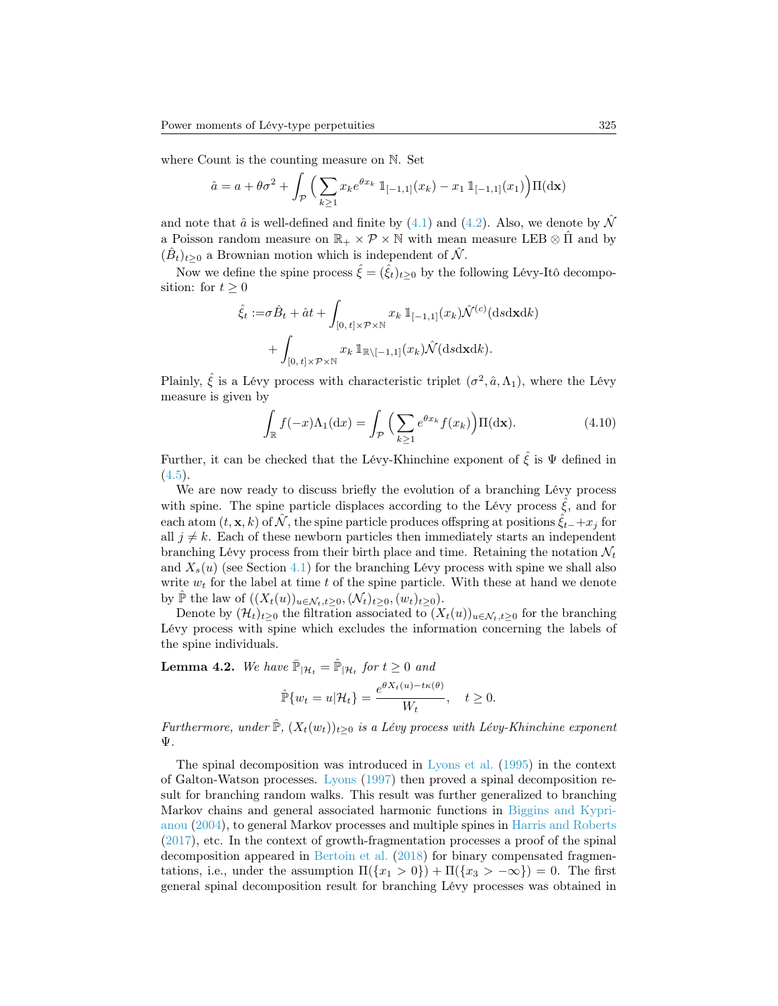where Count is the counting measure on N. Set

$$
\hat{a} = a + \theta \sigma^2 + \int_{\mathcal{P}} \Big( \sum_{k \ge 1} x_k e^{\theta x_k} \, \mathbb{1}_{[-1,1]}(x_k) - x_1 \, \mathbb{1}_{[-1,1]}(x_1) \Big) \Pi(\mathrm{d}\mathbf{x})
$$

and note that  $\hat{a}$  is well-defined and finite by [\(4.1\)](#page-7-1) and [\(4.2\)](#page-7-0). Also, we denote by  $\hat{\mathcal{N}}$ a Poisson random measure on  $\mathbb{R}_+ \times \mathcal{P} \times \mathbb{N}$  with mean measure LEB  $\otimes \hat{\Pi}$  and by  $(\hat{B}_t)_{t\geq 0}$  a Brownian motion which is independent of  $\hat{\mathcal{N}}$ .

Now we define the spine process  $\hat{\xi} = (\hat{\xi}_t)_{t>0}$  by the following Lévy-Itô decomposition: for  $t \geq 0$ 

$$
\hat{\xi}_t := \sigma \hat{B}_t + \hat{a}t + \int_{[0, t] \times \mathcal{P} \times \mathbb{N}} x_k \, \mathbb{1}_{[-1, 1]}(x_k) \hat{\mathcal{N}}^{(c)}(\text{d} s \text{d} \mathbf{x} \text{d} k) \n+ \int_{[0, t] \times \mathcal{P} \times \mathbb{N}} x_k \, \mathbb{1}_{\mathbb{R} \setminus [-1, 1]}(x_k) \hat{\mathcal{N}}(\text{d} s \text{d} \mathbf{x} \text{d} k).
$$

Plainly,  $\hat{\xi}$  is a Lévy process with characteristic triplet  $(\sigma^2, \hat{a}, \Lambda_1)$ , where the Lévy measure is given by

<span id="page-10-0"></span>
$$
\int_{\mathbb{R}} f(-x) \Lambda_1(\mathrm{d}x) = \int_{\mathcal{P}} \Big( \sum_{k \ge 1} e^{\theta x_k} f(x_k) \Big) \Pi(\mathrm{d}\mathbf{x}).\tag{4.10}
$$

Further, it can be checked that the Lévy-Khinchine exponent of  $\hat{\xi}$  is  $\Psi$  defined in  $(4.5).$  $(4.5).$ 

We are now ready to discuss briefly the evolution of a branching Lévy process with spine. The spine particle displaces according to the Lévy process  $\xi$ , and for each atom  $(t, \mathbf{x}, k)$  of  $\hat{\mathcal{N}}$ , the spine particle produces offspring at positions  $\hat{\xi}_{t-}+x_j$  for all  $j \neq k$ . Each of these newborn particles then immediately starts an independent branching Lévy process from their birth place and time. Retaining the notation  $\mathcal{N}_t$ and  $X_s(u)$  (see Section [4.1\)](#page-7-2) for the branching Lévy process with spine we shall also write  $w_t$  for the label at time t of the spine particle. With these at hand we denote by  $\tilde{\mathbb{P}}$  the law of  $((X_t(u))_{u \in \mathcal{N}_t,t\geq 0},(\mathcal{N}_t)_{t\geq 0},(w_t)_{t\geq 0}).$ 

Denote by  $(\mathcal{H}_t)_{t\geq0}$  the filtration associated to  $(X_t(u))_{u\in\mathcal{N}_t,t\geq0}$  for the branching Lévy process with spine which excludes the information concerning the labels of the spine individuals.

**Lemma 4.2.** We have  $\mathbb{P}_{\vert \mathcal{H}_t} = \mathbb{P}_{\vert \mathcal{H}_t}$  for  $t \geq 0$  and

$$
\hat{\mathbb{P}}\{w_t = u | \mathcal{H}_t\} = \frac{e^{\theta X_t(u) - t\kappa(\theta)}}{W_t}, \quad t \ge 0.
$$

Furthermore, under  $\mathbb{P}, (X_t(w_t))_{t>0}$  is a Lévy process with Lévy-Khinchine exponent Ψ.

The spinal decomposition was introduced in [Lyons et al.](#page-15-12) [\(1995\)](#page-15-12) in the context of Galton-Watson processes. [Lyons](#page-15-7) [\(1997\)](#page-15-7) then proved a spinal decomposition result for branching random walks. This result was further generalized to branching Markov chains and general associated harmonic functions in [Biggins and Kypri](#page-15-13)[anou](#page-15-13) [\(2004\)](#page-15-13), to general Markov processes and multiple spines in [Harris and Roberts](#page-15-14) [\(2017\)](#page-15-14), etc. In the context of growth-fragmentation processes a proof of the spinal decomposition appeared in [Bertoin et al.](#page-14-9) [\(2018\)](#page-14-9) for binary compensated fragmentations, i.e., under the assumption  $\Pi({x_1 > 0}) + \Pi({x_3 > -\infty}) = 0$ . The first general spinal decomposition result for branching Lévy processes was obtained in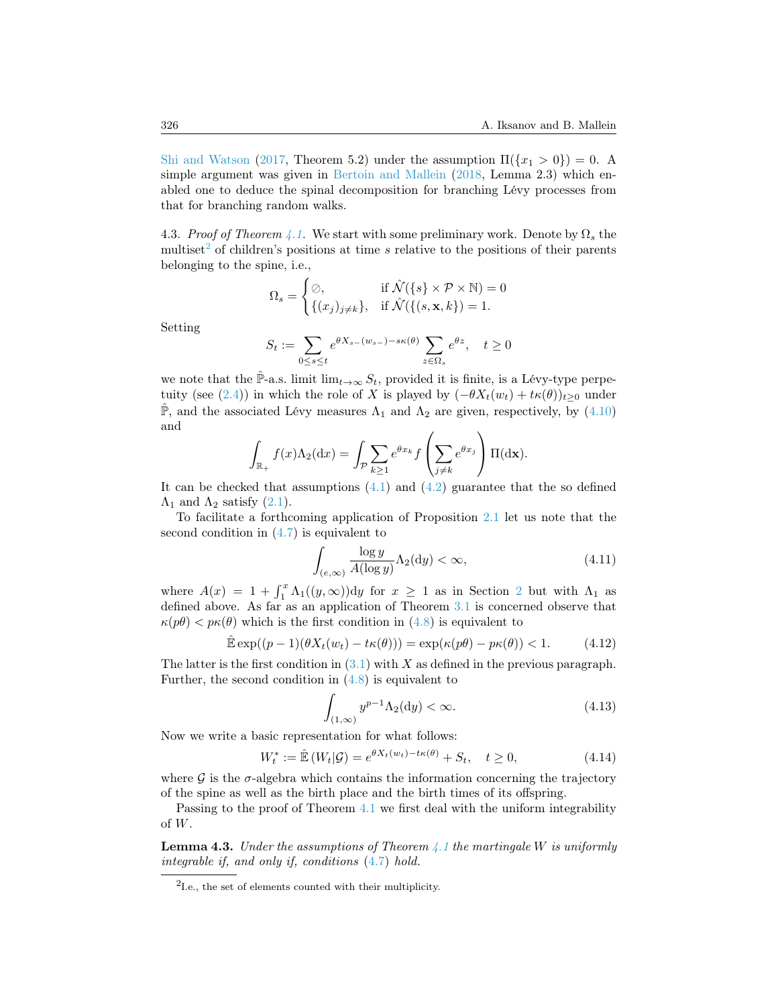[Shi and Watson](#page-16-1) [\(2017,](#page-16-1) Theorem 5.2) under the assumption  $\Pi({x_1 > 0}) = 0$ . A simple argument was given in [Bertoin and Mallein](#page-14-0) [\(2018,](#page-14-0) Lemma 2.3) which enabled one to deduce the spinal decomposition for branching Lévy processes from that for branching random walks.

4.3. Proof of Theorem [4.1.](#page-9-0) We start with some preliminary work. Denote by  $\Omega_s$  the multiset<sup>[2](#page-11-0)</sup> of children's positions at time s relative to the positions of their parents belonging to the spine, i.e.,

$$
\Omega_s = \begin{cases} \oslash, & \text{if } \mathcal{N}(\{s\} \times \mathcal{P} \times \mathbb{N}) = 0 \\ \{(x_j)_{j \neq k}\}, & \text{if } \mathcal{N}(\{(s, \mathbf{x}, k\}) = 1. \end{cases}
$$

Setting

$$
S_t := \sum_{0 \le s \le t} e^{\theta X_{s-}(w_{s-}) - s\kappa(\theta)} \sum_{z \in \Omega_s} e^{\theta z}, \quad t \ge 0
$$

we note that the  $\hat{P}$ -a.s. limit  $\lim_{t\to\infty} S_t$ , provided it is finite, is a Lévy-type perpe-tuity (see [\(2.4\)](#page-3-9)) in which the role of X is played by  $(-\theta X_t(w_t) + t\kappa(\theta))_{t>0}$  under  $\hat{P}$ , and the associated Lévy measures  $\Lambda_1$  and  $\Lambda_2$  are given, respectively, by [\(4.10\)](#page-10-0) and

$$
\int_{\mathbb{R}_+} f(x) \Lambda_2(\mathrm{d}x) = \int_{\mathcal{P}} \sum_{k \ge 1} e^{\theta x_k} f\left(\sum_{j \ne k} e^{\theta x_j}\right) \Pi(\mathrm{d}\mathbf{x}).
$$

It can be checked that assumptions  $(4.1)$  and  $(4.2)$  guarantee that the so defined  $\Lambda_1$  and  $\Lambda_2$  satisfy [\(2.1\)](#page-2-1).

To facilitate a forthcoming application of Proposition [2.1](#page-3-3) let us note that the second condition in [\(4.7\)](#page-9-2) is equivalent to

<span id="page-11-1"></span>
$$
\int_{(e,\infty)} \frac{\log y}{A(\log y)} \Lambda_2(\mathrm{d}y) < \infty,\tag{4.11}
$$

where  $A(x) = 1 + \int_1^x \Lambda_1((y,\infty)) dy$  for  $x \ge 1$  as in Section [2](#page-2-2) but with  $\Lambda_1$  as defined above. As far as an application of Theorem [3.1](#page-3-5) is concerned observe that  $\kappa(p\theta) < p\kappa(\theta)$  which is the first condition in [\(4.8\)](#page-9-1) is equivalent to

<span id="page-11-3"></span>
$$
\hat{\mathbb{E}} \exp((p-1)(\theta X_t(w_t) - t\kappa(\theta))) = \exp(\kappa(p\theta) - p\kappa(\theta)) < 1.
$$
 (4.12)

The latter is the first condition in  $(3.1)$  with X as defined in the previous paragraph. Further, the second condition in [\(4.8\)](#page-9-1) is equivalent to

<span id="page-11-4"></span>
$$
\int_{(1,\infty)} y^{p-1} \Lambda_2(\mathrm{d}y) < \infty. \tag{4.13}
$$

Now we write a basic representation for what follows:

<span id="page-11-5"></span>
$$
W_t^* := \hat{\mathbb{E}}\left(W_t|\mathcal{G}\right) = e^{\theta X_t(w_t) - t\kappa(\theta)} + S_t, \quad t \ge 0,
$$
\n(4.14)

where  $\mathcal G$  is the  $\sigma$ -algebra which contains the information concerning the trajectory of the spine as well as the birth place and the birth times of its offspring.

Passing to the proof of Theorem [4.1](#page-9-0) we first deal with the uniform integrability of W.

<span id="page-11-2"></span>**Lemma 4.3.** Under the assumptions of Theorem  $\angle$  1 the martingale W is uniformly integrable if, and only if, conditions [\(4.7\)](#page-9-2) hold.

<span id="page-11-0"></span><sup>2</sup> I.e., the set of elements counted with their multiplicity.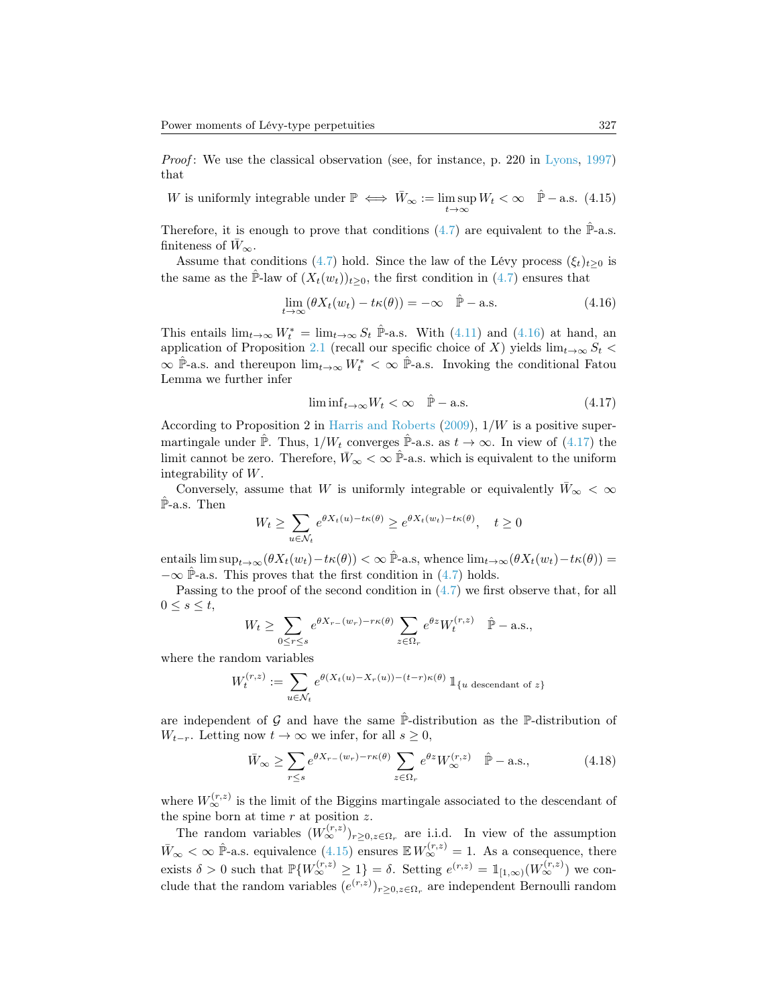Proof: We use the classical observation (see, for instance, p. 220 in [Lyons,](#page-15-7) [1997\)](#page-15-7) that

<span id="page-12-2"></span>W is uniformly integrable under  $\mathbb{P} \iff \bar{W}_{\infty} := \limsup_{t \to \infty} W_t < \infty \quad \hat{\mathbb{P}}$  - a.s. (4.15)

Therefore, it is enough to prove that conditions  $(4.7)$  are equivalent to the  $\mathbb{P}_{\text{-a.s.}}$ . finiteness of  $\bar{W}_{\infty}$ .

Assume that conditions [\(4.7\)](#page-9-2) hold. Since the law of the Lévy process  $(\xi_t)_{t>0}$  is the same as the P-law of  $(X_t(w_t))_{t>0}$ , the first condition in  $(4.7)$  ensures that

<span id="page-12-0"></span>
$$
\lim_{t \to \infty} (\theta X_t(w_t) - t\kappa(\theta)) = -\infty \quad \hat{\mathbb{P}} - \text{a.s.}
$$
\n(4.16)

This entails  $\lim_{t\to\infty} W_t^* = \lim_{t\to\infty} S_t$   $\hat{\mathbb{P}}$ -a.s. With [\(4.11\)](#page-11-1) and [\(4.16\)](#page-12-0) at hand, an application of Proposition [2.1](#page-3-3) (recall our specific choice of X) yields  $\lim_{t\to\infty} S_t$  <  $\infty$   $\hat{P}$ -a.s. and thereupon  $\lim_{t\to\infty} W_t^* < \infty$   $\hat{P}$ -a.s. Invoking the conditional Fatou Lemma we further infer

<span id="page-12-1"></span>
$$
\liminf_{t \to \infty} W_t < \infty \quad \hat{\mathbb{P}} - \text{a.s.} \tag{4.17}
$$

According to Proposition 2 in [Harris and Roberts](#page-15-15)  $(2009)$ ,  $1/W$  is a positive supermartingale under  $\hat{\mathbb{P}}$ . Thus,  $1/W_t$  converges  $\hat{\mathbb{P}}$ -a.s. as  $t \to \infty$ . In view of [\(4.17\)](#page-12-1) the limit cannot be zero. Therefore,  $\bar{W}_{\infty} < \infty$   $\hat{\mathbb{P}}$ -a.s. which is equivalent to the uniform integrability of W.

Conversely, assume that W is uniformly integrable or equivalently  $\bar{W}_{\infty} < \infty$ P-a.s. Then

$$
W_t \ge \sum_{u \in \mathcal{N}_t} e^{\theta X_t(u) - t\kappa(\theta)} \ge e^{\theta X_t(w_t) - t\kappa(\theta)}, \quad t \ge 0
$$

entails  $\limsup_{t\to\infty}(\theta X_t(w_t)-t\kappa(\theta))<\infty$   $\hat{\mathbb{P}}$ -a.s, whence  $\lim_{t\to\infty}(\theta X_t(w_t)-t\kappa(\theta))=$  $-\infty$   $\hat{\mathbb{P}}$ -a.s. This proves that the first condition in [\(4.7\)](#page-9-2) holds.

Passing to the proof of the second condition in [\(4.7\)](#page-9-2) we first observe that, for all  $0 \leq s \leq t$ ,

$$
W_t \ge \sum_{0 \le r \le s} e^{\theta X_{r-}(w_r) - r\kappa(\theta)} \sum_{z \in \Omega_r} e^{\theta z} W_t^{(r,z)} \quad \hat{\mathbb{P}} - \text{a.s.},
$$

where the random variables

$$
W_t^{(r,z)} := \sum_{u \in \mathcal{N}_t} e^{\theta(X_t(u) - X_r(u)) - (t - r)\kappa(\theta)} 1\!\!1_{\{u \text{ descendant of } z\}}
$$

are independent of G and have the same  $\hat{P}$ -distribution as the P-distribution of  $W_{t-r}$ . Letting now  $t \to \infty$  we infer, for all  $s \geq 0$ ,

<span id="page-12-3"></span>
$$
\bar{W}_{\infty} \ge \sum_{r \le s} e^{\theta X_{r-}(w_r) - r\kappa(\theta)} \sum_{z \in \Omega_r} e^{\theta z} W_{\infty}^{(r,z)} \quad \hat{\mathbb{P}} - \text{a.s.},\tag{4.18}
$$

where  $W_{\infty}^{(r,z)}$  is the limit of the Biggins martingale associated to the descendant of the spine born at time  $r$  at position  $z$ .

The random variables  $(W_{\infty}^{(r,z)})_{r\geq 0, z\in\Omega_r}$  are i.i.d. In view of the assumption  $\bar{W}_{\infty} < \infty$   $\hat{\mathbb{P}}$ -a.s. equivalence [\(4.15\)](#page-12-2) ensures  $\mathbb{E} W_{\infty}^{(r,z)} = 1$ . As a consequence, there exists  $\delta > 0$  such that  $\mathbb{P}\{W_{\infty}^{(r,z)} \geq 1\} = \delta$ . Setting  $e^{(r,z)} = \mathbb{1}_{[1,\infty)}(W_{\infty}^{(r,z)})$  we conclude that the random variables  $(e^{(r,z)})_{r\geq 0, z\in\Omega_r}$  are independent Bernoulli random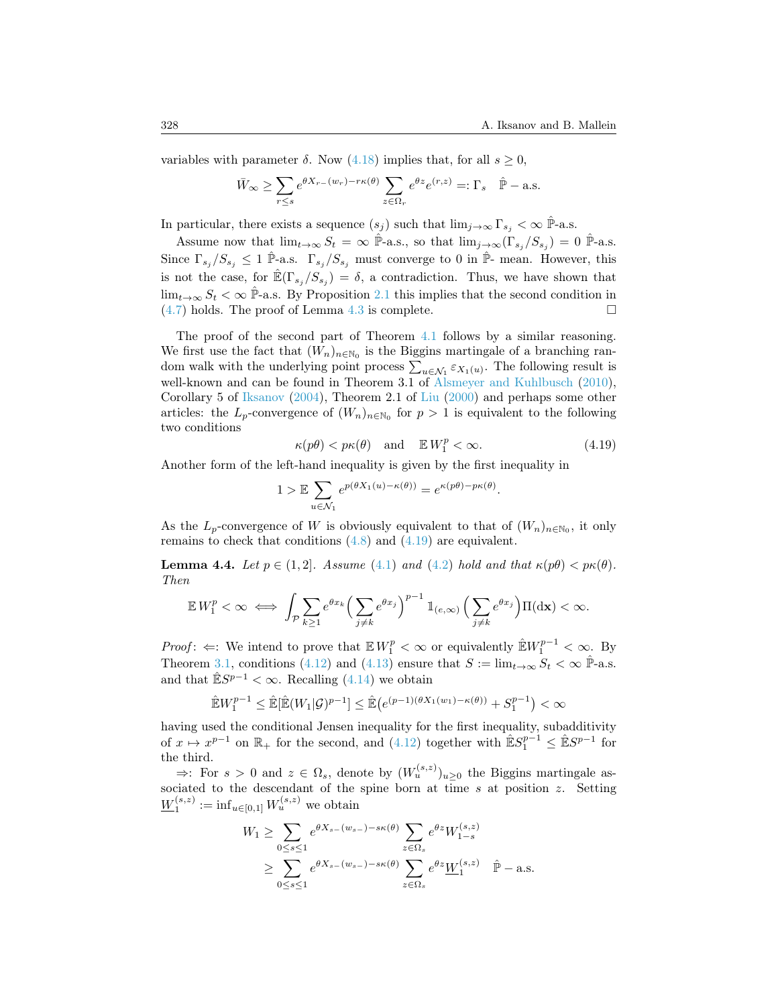variables with parameter  $\delta$ . Now [\(4.18\)](#page-12-3) implies that, for all  $s \geq 0$ ,

$$
\bar{W}_{\infty} \ge \sum_{r \le s} e^{\theta X_{r-}(w_r) - r\kappa(\theta)} \sum_{z \in \Omega_r} e^{\theta z} e^{(r,z)} =: \Gamma_s \quad \hat{\mathbb{P}} - \text{a.s.}
$$

In particular, there exists a sequence  $(s_j)$  such that  $\lim_{j\to\infty} \Gamma_{s_j} < \infty$  P<sup>-</sup>a.s.

Assume now that  $\lim_{t\to\infty} S_t = \infty$   $\hat{\mathbb{P}}$ -a.s., so that  $\lim_{j\to\infty} (\Gamma_{s_j}/S_{s_j}) = 0$   $\hat{\mathbb{P}}$ -a.s. Since  $\Gamma_{s_j}/S_{s_j} \leq 1$   $\hat{\mathbb{P}}$ -a.s.  $\Gamma_{s_j}/S_{s_j}$  must converge to 0 in  $\hat{\mathbb{P}}$ - mean. However, this is not the case, for  $\mathbb{E}(\Gamma_{s_j}/S_{s_j}) = \delta$ , a contradiction. Thus, we have shown that  $\lim_{t\to\infty} S_t < \infty$   $\hat{\mathbb{P}}$ -a.s. By Proposition [2.1](#page-3-3) this implies that the second condition in  $(4.7)$  holds. The proof of Lemma [4.3](#page-11-2) is complete.

The proof of the second part of Theorem [4.1](#page-9-0) follows by a similar reasoning. We first use the fact that  $(W_n)_{n \in \mathbb{N}_0}$  is the Biggins martingale of a branching random walk with the underlying point process  $\sum_{u \in \mathcal{N}_1} \varepsilon_{X_1(u)}$ . The following result is well-known and can be found in Theorem 3.1 of [Alsmeyer and Kuhlbusch](#page-14-10) [\(2010\)](#page-14-10), Corollary 5 of [Iksanov](#page-15-8) [\(2004\)](#page-15-8), Theorem 2.1 of [Liu](#page-15-16) [\(2000\)](#page-15-16) and perhaps some other articles: the  $L_p$ -convergence of  $(W_n)_{n \in \mathbb{N}_0}$  for  $p > 1$  is equivalent to the following two conditions

<span id="page-13-0"></span>
$$
\kappa(p\theta) < p\kappa(\theta) \quad \text{and} \quad \mathbb{E}\,W_1^p < \infty. \tag{4.19}
$$

Another form of the left-hand inequality is given by the first inequality in

$$
1 > \mathbb{E} \sum_{u \in \mathcal{N}_1} e^{p(\theta X_1(u) - \kappa(\theta))} = e^{\kappa(p\theta) - p\kappa(\theta)}.
$$

As the  $L_p$ -convergence of W is obviously equivalent to that of  $(W_n)_{n\in\mathbb{N}_0}$ , it only remains to check that conditions  $(4.8)$  and  $(4.19)$  are equivalent.

<span id="page-13-1"></span>**Lemma 4.4.** Let  $p \in (1, 2]$ . Assume [\(4.1\)](#page-7-1) and [\(4.2\)](#page-7-0) hold and that  $\kappa(p\theta) < p\kappa(\theta)$ . Then

$$
\mathbb{E} W_1^p < \infty \iff \int_{\mathcal{P}} \sum_{k \ge 1} e^{\theta x_k} \left( \sum_{j \ne k} e^{\theta x_j} \right)^{p-1} \mathbb{1}_{(e,\infty)} \left( \sum_{j \ne k} e^{\theta x_j} \right) \Pi(\mathrm{d}\mathbf{x}) < \infty.
$$

*Proof*:  $\Leftarrow$ : We intend to prove that  $\mathbb{E} W_1^p < \infty$  or equivalently  $\mathbb{E} W_1^{p-1} < \infty$ . By Theorem [3.1,](#page-3-5) conditions [\(4.12\)](#page-11-3) and [\(4.13\)](#page-11-4) ensure that  $S := \lim_{t\to\infty} S_t < \infty$   $\hat{\mathbb{P}}$ -a.s. and that  $\mathbb{\hat{E}}S^{p-1} < \infty$ . Recalling [\(4.14\)](#page-11-5) we obtain

$$
\mathbb{\hat{E}}W^{p-1}_1 \leq \mathbb{\hat{E}}[\mathbb{\hat{E}}(W_1|\mathcal{G})^{p-1}] \leq \mathbb{\hat{E}}(e^{(p-1)(\theta X_1(w_1)-\kappa(\theta))}+S^{p-1}_1) < \infty
$$

having used the conditional Jensen inequality for the first inequality, subadditivity of  $x \mapsto x^{p-1}$  on  $\mathbb{R}_+$  for the second, and  $(4.12)$  together with  $\mathbb{E}S_1^{p-1} \leq \mathbb{E}S^{p-1}$  for the third.

 $\Rightarrow$ : For  $s > 0$  and  $z \in \Omega_s$ , denote by  $(W_u^{(s,z)})_{u \geq 0}$  the Biggins martingale associated to the descendant of the spine born at time  $s$  at position  $z$ . Setting  $\underline{W}_1^{(s,z)} := \inf_{u \in [0,1]} W_u^{(s,z)}$  we obtain

$$
W_1 \ge \sum_{0 \le s \le 1} e^{\theta X_{s-}(w_{s-}) - s\kappa(\theta)} \sum_{z \in \Omega_s} e^{\theta z} W_{1-s}^{(s,z)}
$$
  
 
$$
\ge \sum_{0 \le s \le 1} e^{\theta X_{s-}(w_{s-}) - s\kappa(\theta)} \sum_{z \in \Omega_s} e^{\theta z} \underline{W}_1^{(s,z)} \quad \hat{\mathbb{P}} - \text{a.s.}
$$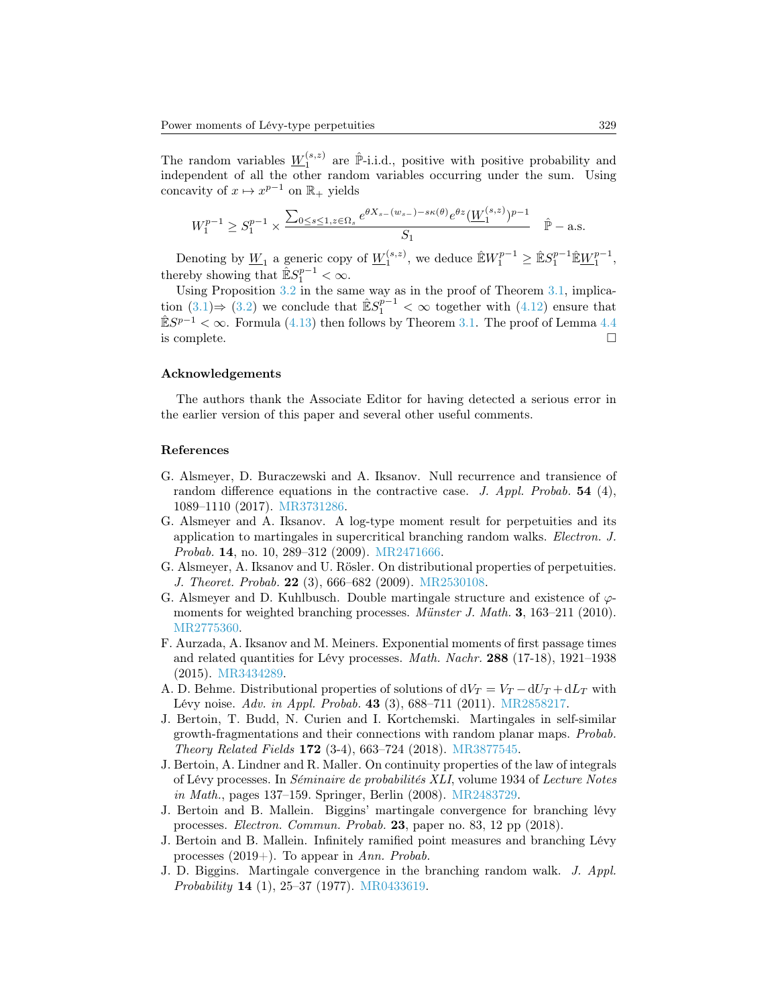The random variables  $\underline{W}_1^{(s,z)}$  are  $\hat{P}$ -i.i.d., positive with positive probability and independent of all the other random variables occurring under the sum. Using concavity of  $x \mapsto x^{p-1}$  on  $\mathbb{R}_+$  yields

$$
W_1^{p-1} \ge S_1^{p-1} \times \frac{\sum_{0 \le s \le 1, z \in \Omega_s} e^{\theta X_{s-}(w_{s-}) - s\kappa(\theta)} e^{\theta z} (\underline{W}_1^{(s,z)})^{p-1}}{S_1} \quad \hat{\mathbb{P}} - \text{a.s.}
$$

Denoting by  $\underline{W}_1$  a generic copy of  $\underline{W}_1^{(s,z)}$ , we deduce  $\mathbb{E}W_1^{p-1} \geq \mathbb{E}S_1^{p-1}\mathbb{E}W_1^{p-1}$ , thereby showing that  $\mathbb{\hat{E}}S_1^{p-1} < \infty$ .

Using Proposition [3.2](#page-4-0) in the same way as in the proof of Theorem [3.1,](#page-3-5) implication  $(3.1) \Rightarrow (3.2)$  $(3.1) \Rightarrow (3.2)$  $(3.1) \Rightarrow (3.2)$  we conclude that  $\mathbb{E}S_1^{p-1} < \infty$  together with  $(4.12)$  ensure that  $\mathbb{\hat{E}}S^{p-1} < \infty$ . Formula [\(4.13\)](#page-11-4) then follows by Theorem [3.1.](#page-3-5) The proof of Lemma [4.4](#page-13-1) is complete.  $\Box$ 

#### Acknowledgements

The authors thank the Associate Editor for having detected a serious error in the earlier version of this paper and several other useful comments.

#### References

- <span id="page-14-1"></span>G. Alsmeyer, D. Buraczewski and A. Iksanov. Null recurrence and transience of random difference equations in the contractive case. J. Appl. Probab.  $54$  (4), 1089–1110 (2017). [MR3731286.](http://www.ams.org/mathscinet-getitem?mr=MR3731286)
- <span id="page-14-2"></span>G. Alsmeyer and A. Iksanov. A log-type moment result for perpetuities and its application to martingales in supercritical branching random walks. Electron. J. Probab. 14, no. 10, 289–312 (2009). [MR2471666.](http://www.ams.org/mathscinet-getitem?mr=MR2471666)
- <span id="page-14-5"></span>G. Alsmeyer, A. Iksanov and U. Rösler. On distributional properties of perpetuities. J. Theoret. Probab. 22 (3), 666–682 (2009). [MR2530108.](http://www.ams.org/mathscinet-getitem?mr=MR2530108)
- <span id="page-14-10"></span>G. Alsmeyer and D. Kuhlbusch. Double martingale structure and existence of  $\varphi$ moments for weighted branching processes. *Münster J. Math.* 3, 163–211 (2010). [MR2775360.](http://www.ams.org/mathscinet-getitem?mr=MR2775360)
- <span id="page-14-7"></span>F. Aurzada, A. Iksanov and M. Meiners. Exponential moments of first passage times and related quantities for Lévy processes. Math. Nachr. 288 (17-18), 1921–1938 (2015). [MR3434289.](http://www.ams.org/mathscinet-getitem?mr=MR3434289)
- <span id="page-14-6"></span>A. D. Behme. Distributional properties of solutions of  $dV_T = V_T - dU_T + dL_T$  with Lévy noise. Adv. in Appl. Probab. 43 (3), 688–711 (2011). [MR2858217.](http://www.ams.org/mathscinet-getitem?mr=MR2858217)
- <span id="page-14-9"></span>J. Bertoin, T. Budd, N. Curien and I. Kortchemski. Martingales in self-similar growth-fragmentations and their connections with random planar maps. Probab. Theory Related Fields 172 (3-4), 663–724 (2018). [MR3877545.](http://www.ams.org/mathscinet-getitem?mr=MR3877545)
- <span id="page-14-4"></span>J. Bertoin, A. Lindner and R. Maller. On continuity properties of the law of integrals of Lévy processes. In Séminaire de probabilités XLI, volume 1934 of Lecture Notes in Math., pages 137–159. Springer, Berlin (2008). [MR2483729.](http://www.ams.org/mathscinet-getitem?mr=MR2483729)
- <span id="page-14-0"></span>J. Bertoin and B. Mallein. Biggins' martingale convergence for branching lévy processes. Electron. Commun. Probab. 23, paper no. 83, 12 pp (2018).
- <span id="page-14-8"></span>J. Bertoin and B. Mallein. Infinitely ramified point measures and branching Lévy processes  $(2019+)$ . To appear in Ann. Probab.
- <span id="page-14-3"></span>J. D. Biggins. Martingale convergence in the branching random walk. J. Appl. Probability 14 (1), 25–37 (1977). [MR0433619.](http://www.ams.org/mathscinet-getitem?mr=MR0433619)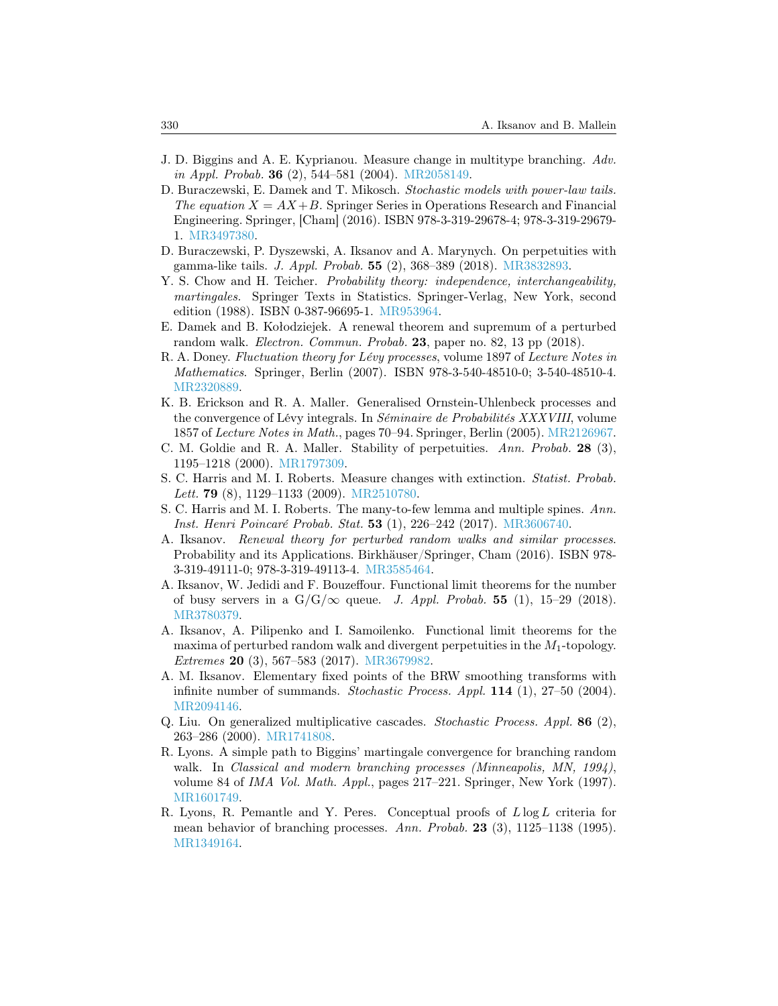- <span id="page-15-13"></span>J. D. Biggins and A. E. Kyprianou. Measure change in multitype branching. Adv. in Appl. Probab. 36 (2), 544–581 (2004). [MR2058149.](http://www.ams.org/mathscinet-getitem?mr=MR2058149)
- <span id="page-15-6"></span>D. Buraczewski, E. Damek and T. Mikosch. Stochastic models with power-law tails. The equation  $X = AX + B$ . Springer Series in Operations Research and Financial Engineering. Springer, [Cham] (2016). ISBN 978-3-319-29678-4; 978-3-319-29679- 1. [MR3497380.](http://www.ams.org/mathscinet-getitem?mr=MR3497380)
- <span id="page-15-2"></span>D. Buraczewski, P. Dyszewski, A. Iksanov and A. Marynych. On perpetuities with gamma-like tails. J. Appl. Probab. 55 (2), 368–389 (2018). [MR3832893.](http://www.ams.org/mathscinet-getitem?mr=MR3832893)
- <span id="page-15-10"></span>Y. S. Chow and H. Teicher. *Probability theory: independence, interchangeability*, martingales. Springer Texts in Statistics. Springer-Verlag, New York, second edition (1988). ISBN 0-387-96695-1. [MR953964.](http://www.ams.org/mathscinet-getitem?mr=MR953964)
- <span id="page-15-3"></span>E. Damek and B. Kołodziejek. A renewal theorem and supremum of a perturbed random walk. *Electron. Commun. Probab.* 23, paper no. 82, 13 pp (2018).
- <span id="page-15-11"></span>R. A. Doney. Fluctuation theory for Lévy processes, volume 1897 of Lecture Notes in Mathematics. Springer, Berlin (2007). ISBN 978-3-540-48510-0; 3-540-48510-4. [MR2320889.](http://www.ams.org/mathscinet-getitem?mr=MR2320889)
- <span id="page-15-0"></span>K. B. Erickson and R. A. Maller. Generalised Ornstein-Uhlenbeck processes and the convergence of Lévy integrals. In Séminaire de Probabilités XXXVIII, volume 1857 of Lecture Notes in Math., pages 70–94. Springer, Berlin (2005). [MR2126967.](http://www.ams.org/mathscinet-getitem?mr=MR2126967)
- <span id="page-15-9"></span>C. M. Goldie and R. A. Maller. Stability of perpetuities. Ann. Probab. 28 (3), 1195–1218 (2000). [MR1797309.](http://www.ams.org/mathscinet-getitem?mr=MR1797309)
- <span id="page-15-15"></span>S. C. Harris and M. I. Roberts. Measure changes with extinction. Statist. Probab. Lett. **79** (8), 1129–1133 (2009). [MR2510780.](http://www.ams.org/mathscinet-getitem?mr=MR2510780)
- <span id="page-15-14"></span>S. C. Harris and M. I. Roberts. The many-to-few lemma and multiple spines. Ann. Inst. Henri Poincaré Probab. Stat. 53 (1), 226–242 (2017). [MR3606740.](http://www.ams.org/mathscinet-getitem?mr=MR3606740)
- <span id="page-15-1"></span>A. Iksanov. Renewal theory for perturbed random walks and similar processes. Probability and its Applications. Birkhäuser/Springer, Cham (2016). ISBN 978- 3-319-49111-0; 978-3-319-49113-4. [MR3585464.](http://www.ams.org/mathscinet-getitem?mr=MR3585464)
- <span id="page-15-4"></span>A. Iksanov, W. Jedidi and F. Bouzeffour. Functional limit theorems for the number of busy servers in a  $G/G/\infty$  queue. J. Appl. Probab. 55 (1), 15–29 (2018). [MR3780379.](http://www.ams.org/mathscinet-getitem?mr=MR3780379)
- <span id="page-15-5"></span>A. Iksanov, A. Pilipenko and I. Samoilenko. Functional limit theorems for the maxima of perturbed random walk and divergent perpetuities in the  $M_1$ -topology. Extremes 20 (3), 567–583 (2017). [MR3679982.](http://www.ams.org/mathscinet-getitem?mr=MR3679982)
- <span id="page-15-8"></span>A. M. Iksanov. Elementary fixed points of the BRW smoothing transforms with infinite number of summands. Stochastic Process. Appl. 114 (1), 27-50 (2004). [MR2094146.](http://www.ams.org/mathscinet-getitem?mr=MR2094146)
- <span id="page-15-16"></span>Q. Liu. On generalized multiplicative cascades. Stochastic Process. Appl. 86 (2), 263–286 (2000). [MR1741808.](http://www.ams.org/mathscinet-getitem?mr=MR1741808)
- <span id="page-15-7"></span>R. Lyons. A simple path to Biggins' martingale convergence for branching random walk. In Classical and modern branching processes (Minneapolis, MN, 1994), volume 84 of IMA Vol. Math. Appl., pages 217–221. Springer, New York (1997). [MR1601749.](http://www.ams.org/mathscinet-getitem?mr=MR1601749)
- <span id="page-15-12"></span>R. Lyons, R. Pemantle and Y. Peres. Conceptual proofs of  $L \log L$  criteria for mean behavior of branching processes. Ann. Probab. 23 (3),  $1125-1138$  (1995). [MR1349164.](http://www.ams.org/mathscinet-getitem?mr=MR1349164)